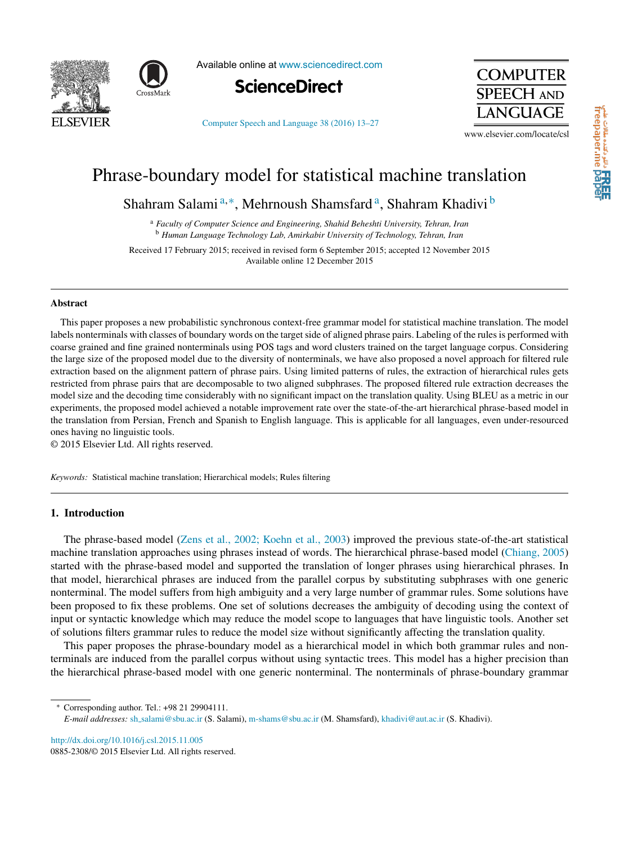



Available online at [www.sciencedirect.com](http://www.sciencedirect.com/science/journal/08852308)



[Computer](dx.doi.org/10.1016/j.csl.2015.11.005) Speech and Language 38 (2016) 13–27

**COMPUTER SPEECH AND** LANGUAGE

www.elsevier.com/locate/csl

# Phrase-boundary model for statistical machine translation

Shahram Salami <sup>a</sup>*,*∗, Mehrnoush Shamsfard a, Shahram Khadivi <sup>b</sup>

<sup>a</sup> *Faculty of Computer Science and Engineering, Shahid Beheshti University, Tehran, Iran* <sup>b</sup> *Human Language Technology Lab, Amirkabir University of Technology, Tehran, Iran*

Received 17 February 2015; received in revised form 6 September 2015; accepted 12 November 2015 Available online 12 December 2015

#### **Abstract**

This paper proposes a new probabilistic synchronous context-free grammar model for statistical machine translation. The model labels nonterminals with classes of boundary words on the target side of aligned phrase pairs. Labeling of the rules is performed with coarse grained and fine grained nonterminals using POS tags and word clusters trained on the target language corpus. Considering the large size of the proposed model due to the diversity of nonterminals, we have also proposed a novel approach for filtered rule extraction based on the alignment pattern of phrase pairs. Using limited patterns of rules, the extraction of hierarchical rules gets restricted from phrase pairs that are decomposable to two aligned subphrases. The proposed filtered rule extraction decreases the model size and the decoding time considerably with no significant impact on the translation quality. Using BLEU as a metric in our experiments, the proposed model achieved a notable improvement rate over the state-of-the-art hierarchical phrase-based model in the translation from Persian, French and Spanish to English language. This is applicable for all languages, even under-resourced ones having no linguistic tools.

© 2015 Elsevier Ltd. All rights reserved.

*Keywords:* Statistical machine translation; Hierarchical models; Rules filtering

# **1. Introduction**

The phrase-based model [\(Zens](#page-14-0) et [al.,](#page-14-0) [2002;](#page-14-0) [Koehn](#page-14-0) et [al.,](#page-14-0) [2003\)](#page-14-0) improved the previous state-of-the-art statistical machine translation approaches using phrases instead of words. The hierarchical phrase-based model [\(Chiang,](#page-13-0) [2005\)](#page-13-0) started with the phrase-based model and supported the translation of longer phrases using hierarchical phrases. In that model, hierarchical phrases are induced from the parallel corpus by substituting subphrases with one generic nonterminal. The model suffers from high ambiguity and a very large number of grammar rules. Some solutions have been proposed to fix these problems. One set of solutions decreases the ambiguity of decoding using the context of input or syntactic knowledge which may reduce the model scope to languages that have linguistic tools. Another set of solutions filters grammar rules to reduce the model size without significantly affecting the translation quality.

This paper proposes the phrase-boundary model as a hierarchical model in which both grammar rules and nonterminals are induced from the parallel corpus without using syntactic trees. This model has a higher precision than the hierarchical phrase-based model with one generic nonterminal. The nonterminals of phrase-boundary grammar

<sup>∗</sup> Corresponding author. Tel.: +98 21 29904111.

*E-mail addresses:* sh [salami@sbu.ac.ir](mailto:sh_salami@sbu.ac.ir) (S. Salami), [m-shams@sbu.ac.ir](mailto:m-shams@sbu.ac.ir) (M. Shamsfard), [khadivi@aut.ac.ir](mailto:khadivi@aut.ac.ir) (S. Khadivi).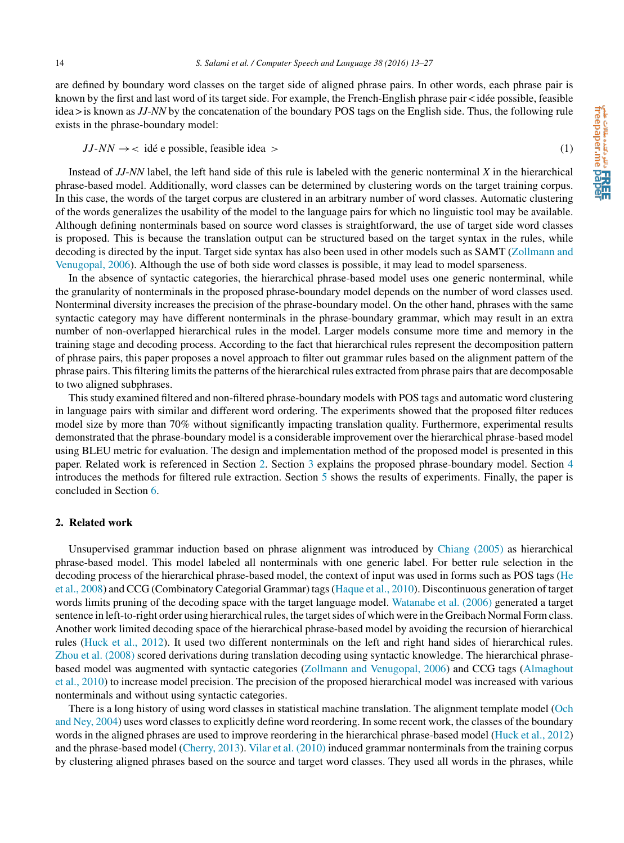are defined by boundary word classes on the target side of aligned phrase pairs. In other words, each phrase pair is known by the first and last word of its target side. For example, the French-English phrase pair < idée possible, feasible idea > is known as *JJ*-*NN* by the concatenation of the boundary POS tags on the English side. Thus, the following rule exists in the phrase-boundary model:

$$
JJ\text{-}NN \to \langle \text{ id\'e e possible, feasible idea } \rangle \tag{1}
$$

Instead of *JJ*-*NN* label, the left hand side of this rule is labeled with the generic nonterminal *X* in the hierarchical phrase-based model. Additionally, word classes can be determined by clustering words on the target training corpus. In this case, the words of the target corpus are clustered in an arbitrary number of word classes. Automatic clustering of the words generalizes the usability of the model to the language pairs for which no linguistic tool may be available. Although defining nonterminals based on source word classes is straightforward, the use of target side word classes is proposed. This is because the translation output can be structured based on the target syntax in the rules, while decoding is directed by the input. Target side syntax has also been used in other models such as SAMT [\(Zollmann](#page-14-0) [and](#page-14-0) [Venugopal,](#page-14-0) [2006\).](#page-14-0) Although the use of both side word classes is possible, it may lead to model sparseness.

In the absence of syntactic categories, the hierarchical phrase-based model uses one generic nonterminal, while the granularity of nonterminals in the proposed phrase-boundary model depends on the number of word classes used. Nonterminal diversity increases the precision of the phrase-boundary model. On the other hand, phrases with the same syntactic category may have different nonterminals in the phrase-boundary grammar, which may result in an extra number of non-overlapped hierarchical rules in the model. Larger models consume more time and memory in the training stage and decoding process. According to the fact that hierarchical rules represent the decomposition pattern of phrase pairs, this paper proposes a novel approach to filter out grammar rules based on the alignment pattern of the phrase pairs. This filtering limitsthe patterns of the hierarchical rules extracted from phrase pairsthat are decomposable to two aligned subphrases.

Thisstudy examined filtered and non-filtered phrase-boundary models with POS tags and automatic word clustering in language pairs with similar and different word ordering. The experiments showed that the proposed filter reduces model size by more than 70% without significantly impacting translation quality. Furthermore, experimental results demonstrated that the phrase-boundary model is a considerable improvement over the hierarchical phrase-based model using BLEU metric for evaluation. The design and implementation method of the proposed model is presented in this paper. Related work is referenced in Section 2. Section [3](#page-2-0) explains the proposed phrase-boundary model. Section [4](#page-4-0) introduces the methods for filtered rule extraction. Section [5](#page-7-0) shows the results of experiments. Finally, the paper is concluded in Section [6.](#page-12-0)

# **2. Related work**

Unsupervised grammar induction based on phrase alignment was introduced by [Chiang](#page-13-0) [\(2005\)](#page-13-0) as hierarchical phrase-based model. This model labeled all nonterminals with one generic label. For better rule selection in the decoding process of the hierarchical phrase-based model, the context of input was used in forms such as POS tags ([He](#page-13-0) et [al.,](#page-13-0) [2008\)](#page-13-0) and CCG (Combinatory Categorial Grammar) tags[\(Haque](#page-13-0) et [al.,](#page-13-0) [2010\).](#page-13-0) Discontinuous generation of target words limits pruning of the decoding space with the target language model. [Watanabe](#page-13-0) et [al.](#page-13-0) [\(2006\)](#page-13-0) generated a target sentence in left-to-right order using hierarchical rules, the target sides of which were in the Greibach Normal Form class. Another work limited decoding space of the hierarchical phrase-based model by avoiding the recursion of hierarchical rules [\(Huck](#page-13-0) et [al.,](#page-13-0) [2012\).](#page-13-0) It used two different nonterminals on the left and right hand sides of hierarchical rules. [Zhou](#page-14-0) et [al.](#page-14-0) [\(2008\)](#page-14-0) scored derivations during translation decoding using syntactic knowledge. The hierarchical phrasebased model was augmented with syntactic categories ([Zollmann](#page-14-0) [and](#page-14-0) [Venugopal,](#page-14-0) [2006\)](#page-14-0) and CCG tags ([Almaghout](#page-13-0) et [al.,](#page-13-0) [2010\)](#page-13-0) to increase model precision. The precision of the proposed hierarchical model was increased with various nonterminals and without using syntactic categories.

There is a long history of using word classes in statistical machine translation. The alignment template model ([Och](#page-13-0) [and](#page-13-0) [Ney,](#page-13-0) [2004\)](#page-13-0) uses word classes to explicitly define word reordering. In some recent work, the classes of the boundary words in the aligned phrases are used to improve reordering in the hierarchical phrase-based model ([Huck](#page-13-0) et [al.,](#page-13-0) [2012\)](#page-13-0) and the phrase-based model [\(Cherry,](#page-13-0) [2013\).](#page-13-0) [Vilar](#page-13-0) et [al.](#page-13-0) [\(2010\)](#page-13-0) induced grammar nonterminals from the training corpus by clustering aligned phrases based on the source and target word classes. They used all words in the phrases, while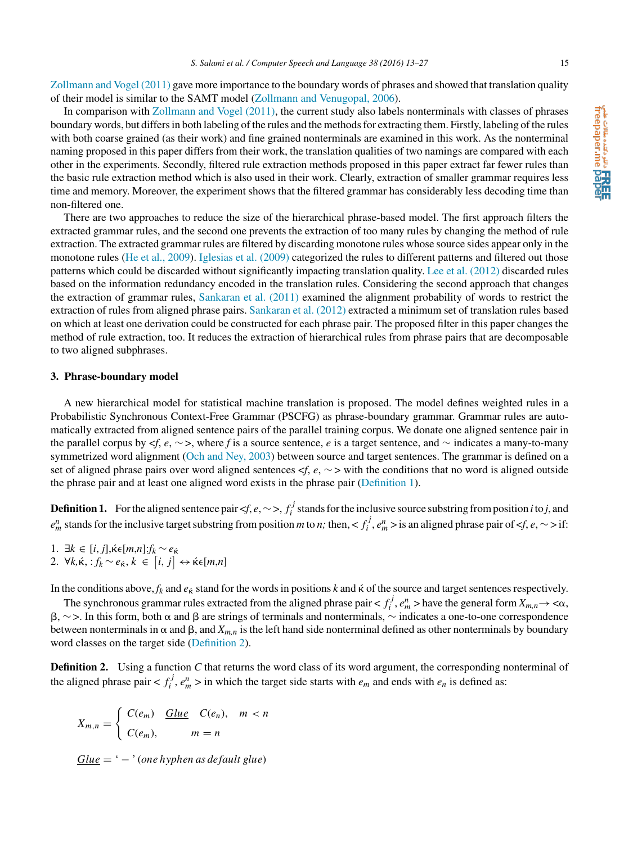<span id="page-2-0"></span>[Zollmann](#page-14-0) [and](#page-14-0) [Vogel](#page-14-0) [\(2011\)](#page-14-0) gave more importance to the boundary words of phrases and showed that translation quality of their model is similar to the SAMT model ([Zollmann](#page-14-0) [and](#page-14-0) [Venugopal,](#page-14-0) [2006\).](#page-14-0)

In comparison with [Zollmann](#page-14-0) [and](#page-14-0) [Vogel](#page-14-0) [\(2011\),](#page-14-0) the current study also labels nonterminals with classes of phrases boundary words, but differs in both labeling of the rules and the methods for extracting them. Firstly, labeling of the rules with both coarse grained (as their work) and fine grained nonterminals are examined in this work. As the nonterminal naming proposed in this paper differs from their work, the translation qualities of two namings are compared with each other in the experiments. Secondly, filtered rule extraction methods proposed in this paper extract far fewer rules than the basic rule extraction method which is also used in their work. Clearly, extraction of smaller grammar requires less time and memory. Moreover, the experiment shows that the filtered grammar has considerably less decoding time than non-filtered one.

There are two approaches to reduce the size of the hierarchical phrase-based model. The first approach filters the extracted grammar rules, and the second one prevents the extraction of too many rules by changing the method of rule extraction. The extracted grammar rules are filtered by discarding monotone rules whose source sides appear only in the monotone rules [\(He](#page-13-0) et [al.,](#page-13-0) [2009\).](#page-13-0) [Iglesias](#page-13-0) et [al.](#page-13-0) [\(2009\)](#page-13-0) categorized the rules to different patterns and filtered out those patterns which could be discarded without significantly impacting translation quality. [Lee](#page-13-0) et [al.](#page-13-0) [\(2012\)](#page-13-0) discarded rules based on the information redundancy encoded in the translation rules. Considering the second approach that changes the extraction of grammar rules, [Sankaran](#page-13-0) et [al.](#page-13-0) [\(2011\)](#page-13-0) examined the alignment probability of words to restrict the extraction of rules from aligned phrase pairs. [Sankaran](#page-13-0) et [al.](#page-13-0) [\(2012\)](#page-13-0) extracted a minimum set of translation rules based on which at least one derivation could be constructed for each phrase pair. The proposed filter in this paper changes the method of rule extraction, too. It reduces the extraction of hierarchical rules from phrase pairs that are decomposable to two aligned subphrases.

# **3. Phrase-boundary model**

A new hierarchical model for statistical machine translation is proposed. The model defines weighted rules in a Probabilistic Synchronous Context-Free Grammar (PSCFG) as phrase-boundary grammar. Grammar rules are automatically extracted from aligned sentence pairs of the parallel training corpus. We donate one aligned sentence pair in the parallel corpus by <*f*, *e*, ∼ >, where *f* is a source sentence, *e* is a target sentence, and ∼ indicates a many-to-many symmetrized word alignment [\(Och](#page-13-0) [and](#page-13-0) [Ney,](#page-13-0) [2003\)](#page-13-0) between source and target sentences. The grammar is defined on a set of aligned phrase pairs over word aligned sentences <*f*, *e*, ∼ > with the conditions that no word is aligned outside the phrase pair and at least one aligned word exists in the phrase pair (Definition 1).

**Definition 1.** For the aligned sentence pair <*f*, *e*, ∼>,  $f_i^j$  stands for the inclusive source substring from position *i* to *j*, and  $e_m^n$  stands for the inclusive target substring from position *m* to *n*; then, <  $f_i^j$ ,  $e_m^n$  > is an aligned phrase pair of <*f*,  $e$ , ∼ > if:

- 1. ∃ $k \in [i, j]$ ,  $k \in [m, n]$ :  $f_k \sim e_k$
- $2. \ \forall k, \acute{\kappa}, \exists f_k \sim e_{\acute{\kappa}}, k \in [i, j] \leftrightarrow \acute{\kappa} \epsilon[m, n]$

In the conditions above,  $f_k$  and  $e_k$  stand for the words in positions  $k$  and  $\kappa$  of the source and target sentences respectively.

The synchronous grammar rules extracted from the aligned phrase pair  $$  have the general form  $X_{m,n}\to<\infty$ ,  $\beta$ , ~>. In this form, both  $\alpha$  and  $\beta$  are strings of terminals and nonterminals, ~ indicates a one-to-one correspondence between nonterminals in  $\alpha$  and  $\beta$ , and  $X_{m,n}$  is the left hand side nonterminal defined as other nonterminals by boundary word classes on the target side (Definition 2).

**Definition 2.** Using a function *C* that returns the word class of its word argument, the corresponding nonterminal of the aligned phrase pair  $\langle f_i^j, e_m^n \rangle$  in which the target side starts with  $e_m$  and ends with  $e_n$  is defined as:

$$
X_{m,n} = \begin{cases} C(e_m) & \underline{Glue} & C(e_n), & m < n \\ C(e_m), & m = n \end{cases}
$$

 $Glue = ' - '(one hyphen as default glue)$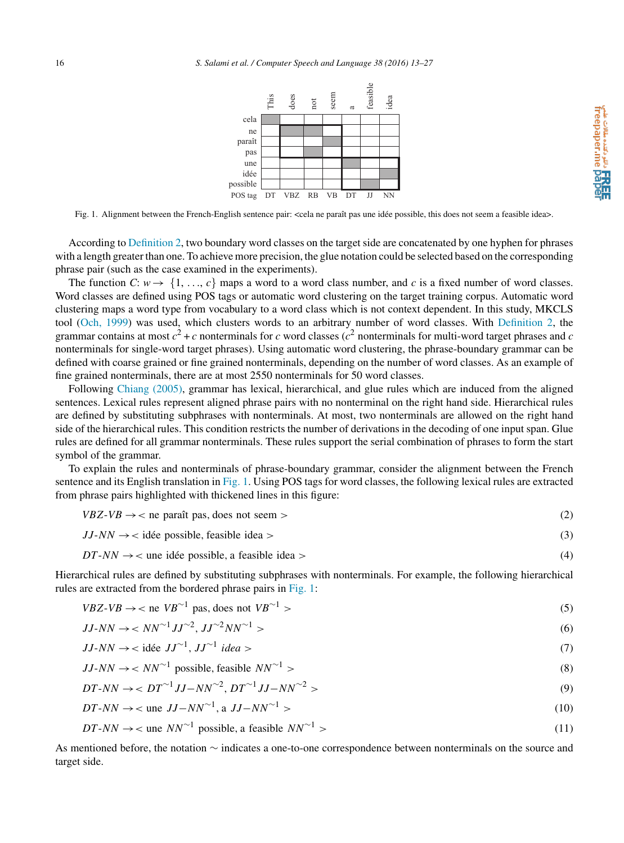

<span id="page-3-0"></span>Fig. 1. Alignment between the French-English sentence pair: <cela ne paraît pas une idée possible, this does not seem a feasible idea>.

According to [Definition](#page-2-0) [2,](#page-2-0) two boundary word classes on the target side are concatenated by one hyphen for phrases with a length greater than one. To achieve more precision, the glue notation could be selected based on the corresponding phrase pair (such as the case examined in the experiments).

The function *C*:  $w \rightarrow \{1, ..., c\}$  maps a word to a word class number, and *c* is a fixed number of word classes. Word classes are defined using POS tags or automatic word clustering on the target training corpus. Automatic word clustering maps a word type from vocabulary to a word class which is not context dependent. In this study, MKCLS tool ([Och,](#page-13-0) [1999\)](#page-13-0) was used, which clusters words to an arbitrary number of word classes. With [Definition](#page-2-0) [2,](#page-2-0) the grammar contains at most  $c^2 + c$  nonterminals for *c* word classes ( $c^2$  nonterminals for multi-word target phrases and *c* nonterminals for single-word target phrases). Using automatic word clustering, the phrase-boundary grammar can be defined with coarse grained or fine grained nonterminals, depending on the number of word classes. As an example of fine grained nonterminals, there are at most 2550 nonterminals for 50 word classes.

Following [Chiang](#page-13-0) [\(2005\),](#page-13-0) grammar has lexical, hierarchical, and glue rules which are induced from the aligned sentences. Lexical rules represent aligned phrase pairs with no nonterminal on the right hand side. Hierarchical rules are defined by substituting subphrases with nonterminals. At most, two nonterminals are allowed on the right hand side of the hierarchical rules. This condition restricts the number of derivations in the decoding of one input span. Glue rules are defined for all grammar nonterminals. These rules support the serial combination of phrases to form the start symbol of the grammar.

To explain the rules and nonterminals of phrase-boundary grammar, consider the alignment between the French sentence and its English translation in Fig. 1. Using POS tags for word classes, the following lexical rules are extracted from phrase pairs highlighted with thickened lines in this figure:

| $VBZ-VB \rightarrow \le$ ne paraît pas, does not seem $>$ |  |
|-----------------------------------------------------------|--|
|-----------------------------------------------------------|--|

$$
JJ\text{-}NN \to \langle \text{ide possible}, \text{feasible idea} \rangle \tag{3}
$$

$$
DT-NN \rightarrow \langle
$$
une idée possible, a feasible idea  $>$  (4)

Hierarchical rules are defined by substituting subphrases with nonterminals. For example, the following hierarchical rules are extracted from the bordered phrase pairs in Fig. 1:

$$
VBZ-VB \to \text{ce } VB^{-1} \text{ pas, does not } VB^{-1} \to \tag{5}
$$

$$
JJ\text{-}NN \to \lt NN^{-1}JJ^{-2}, JJ^{-2}NN^{-1} \gt (6)
$$

$$
JJ-NN \to <\text{idee }JJ^{\sim 1}, JJ^{\sim 1} \text{ idea} \tag{7}
$$

$$
JJ-NN \to \langle NN^{-1} \text{ possible, feasible } NN^{-1} \rangle \tag{8}
$$

$$
DT\text{-}NN \to \lt D T^{-1} J J - NN^{-2}, DT^{-1} J J - NN^{-2} \gt (9)
$$

$$
DT\text{-}NN \to \lt \text{une } JJ - NN^{\sim 1}, \text{ a } JJ - NN^{\sim 1} \gt (10)
$$

$$
DT-NN \to \langle \text{une } NN^{\sim 1} \text{ possible, a feasible } NN^{\sim 1} \rangle \tag{11}
$$

As mentioned before, the notation ∼ indicates a one-to-one correspondence between nonterminals on the source and target side.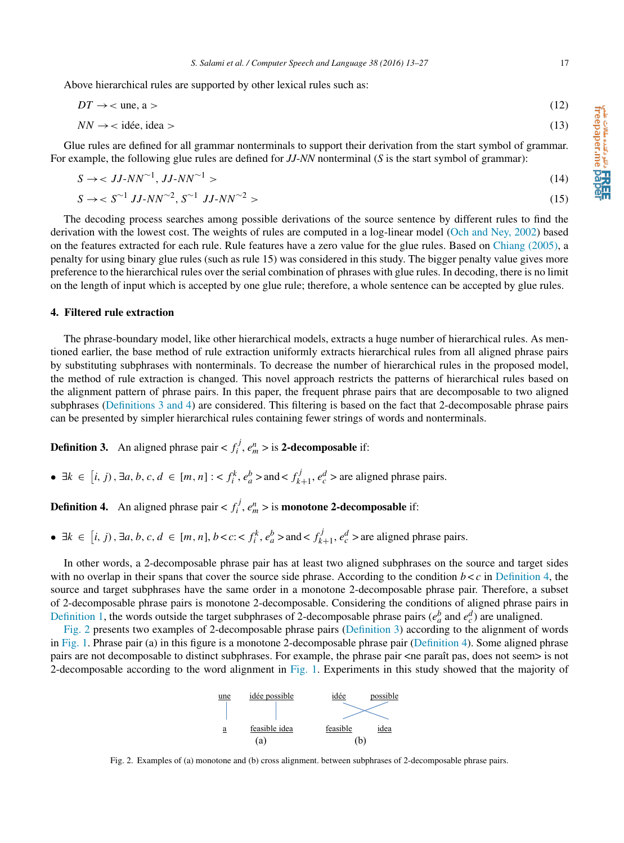<span id="page-4-0"></span>Above hierarchical rules are supported by other lexical rules such as:

$$
DT \to \langle \text{une}, \text{a} \rangle \tag{12}
$$

$$
NN \to <\text{ide}, \text{idea} \tag{13}
$$

Glue rules are defined for all grammar nonterminals to support their derivation from the start symbol of grammar. For example, the following glue rules are defined for *JJ*-*NN* nonterminal (*S* is the start symbol of grammar):

$$
S \to \langle JJ\text{-}NN^{\sim 1}, JJ\text{-}NN^{\sim 1} \rangle \tag{14}
$$

$$
S \rightarrow \langle S^{\sim 1} J J \cdot N N^{\sim 2}, S^{\sim 1} J J \cdot N N^{\sim 2} \rangle \tag{15}
$$

The decoding process searches among possible derivations of the source sentence by different rules to find the derivation with the lowest cost. The weights of rules are computed in a log-linear model [\(Och](#page-13-0) [and](#page-13-0) [Ney,](#page-13-0) [2002\)](#page-13-0) based on the features extracted for each rule. Rule features have a zero value for the glue rules. Based on [Chiang](#page-13-0) [\(2005\),](#page-13-0) a penalty for using binary glue rules (such as rule 15) was considered in this study. The bigger penalty value gives more preference to the hierarchical rules over the serial combination of phrases with glue rules. In decoding, there is no limit on the length of input which is accepted by one glue rule; therefore, a whole sentence can be accepted by glue rules.

## **4. Filtered rule extraction**

The phrase-boundary model, like other hierarchical models, extracts a huge number of hierarchical rules. As mentioned earlier, the base method of rule extraction uniformly extracts hierarchical rules from all aligned phrase pairs by substituting subphrases with nonterminals. To decrease the number of hierarchical rules in the proposed model, the method of rule extraction is changed. This novel approach restricts the patterns of hierarchical rules based on the alignment pattern of phrase pairs. In this paper, the frequent phrase pairs that are decomposable to two aligned subphrases (Definitions 3 and 4) are considered. This filtering is based on the fact that 2-decomposable phrase pairs can be presented by simpler hierarchical rules containing fewer strings of words and nonterminals.

**Definition 3.** An aligned phrase pair  $\langle f_i^j, e_m^n \rangle$  is 2-decomposable if:

•  $\exists k \in [i, j)$ ,  $\exists a, b, c, d \in [m, n] : \langle f_i^k, e_a^b \rangle$  and  $\langle f_{k+1}^j, e_c^d \rangle$  are aligned phrase pairs.

**Definition 4.** An aligned phrase pair  $\langle f_i^j, e_m^n \rangle$  is **monotone** 2-decomposable if:

•  $\exists k \in [i, j)$ ,  $\exists a, b, c, d \in [m, n]$ ,  $b < c < f_i^k$ ,  $e_a^b >$  and  $\langle f_{k+1}^j, e_c^d >$  are aligned phrase pairs.

In other words, a 2-decomposable phrase pair has at least two aligned subphrases on the source and target sides with no overlap in their spans that cover the source side phrase. According to the condition  $b < c$  in Definition 4, the source and target subphrases have the same order in a monotone 2-decomposable phrase pair. Therefore, a subset of 2-decomposable phrase pairs is monotone 2-decomposable. Considering the conditions of aligned phrase pairs in [Definition](#page-2-0) [1,](#page-2-0) the words outside the target subphrases of 2-decomposable phrase pairs  $(e_a^b$  and  $e_c^d)$  are unaligned.

Fig. 2 presents two examples of 2-decomposable phrase pairs (Definition 3) according to the alignment of words in [Fig.](#page-3-0) 1. Phrase pair (a) in this figure is a monotone 2-decomposable phrase pair (Definition 4). Some aligned phrase pairs are not decomposable to distinct subphrases. For example, the phrase pair <ne paraît pas, does not seem> is not 2-decomposable according to the word alignment in [Fig.](#page-3-0) 1. Experiments in this study showed that the majority of



Fig. 2. Examples of (a) monotone and (b) cross alignment. between subphrases of 2-decomposable phrase pairs.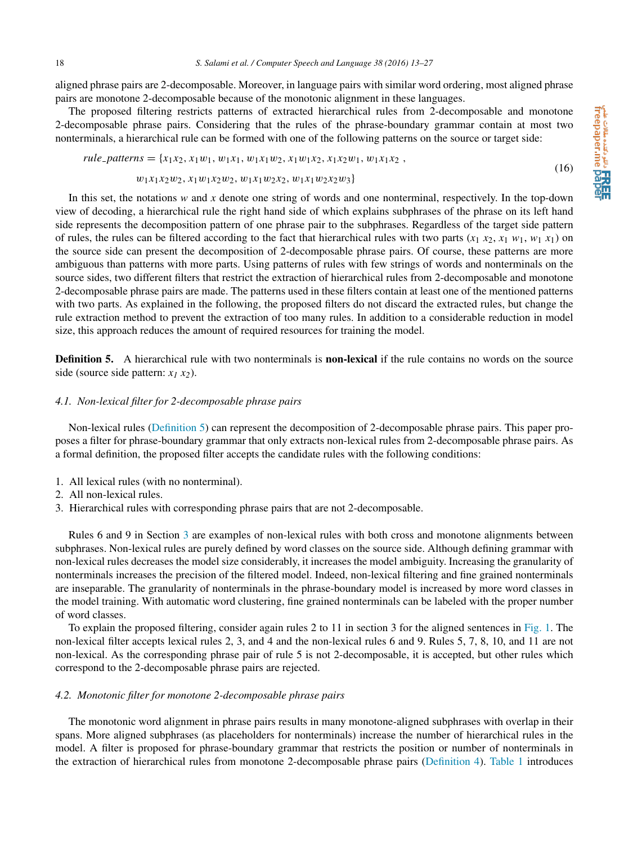<span id="page-5-0"></span>aligned phrase pairs are 2-decomposable. Moreover, in language pairs with similar word ordering, most aligned phrase pairs are monotone 2-decomposable because of the monotonic alignment in these languages.

The proposed filtering restricts patterns of extracted hierarchical rules from 2-decomposable and monotone 2-decomposable phrase pairs. Considering that the rules of the phrase-boundary grammar contain at most two nonterminals, a hierarchical rule can be formed with one of the following patterns on the source or target side:

rule\_patterns = { $x_1x_2, x_1w_1, w_1x_1, w_1x_1w_2, x_1w_1x_2, x_1x_2w_1, w_1x_1x_2$ ,

$$
w_1x_1x_2w_2, x_1w_1x_2w_2, w_1x_1w_2x_2, w_1x_1w_2x_2w_3\}
$$

In this set, the notations *w* and *x* denote one string of words and one nonterminal, respectively. In the top-down view of decoding, a hierarchical rule the right hand side of which explains subphrases of the phrase on its left hand side represents the decomposition pattern of one phrase pair to the subphrases. Regardless of the target side pattern of rules, the rules can be filtered according to the fact that hierarchical rules with two parts  $(x_1, x_2, x_1, w_1, w_1, x_1)$  on the source side can present the decomposition of 2-decomposable phrase pairs. Of course, these patterns are more ambiguous than patterns with more parts. Using patterns of rules with few strings of words and nonterminals on the source sides, two different filters that restrict the extraction of hierarchical rules from 2-decomposable and monotone 2-decomposable phrase pairs are made. The patterns used in these filters contain at least one of the mentioned patterns with two parts. As explained in the following, the proposed filters do not discard the extracted rules, but change the rule extraction method to prevent the extraction of too many rules. In addition to a considerable reduction in model size, this approach reduces the amount of required resources for training the model.

**Definition 5.** A hierarchical rule with two nonterminals is **non-lexical** if the rule contains no words on the source side (source side pattern:  $x_1 x_2$ ).

# *4.1. Non-lexical filter for 2-decomposable phrase pairs*

Non-lexical rules (Definition 5) can represent the decomposition of 2-decomposable phrase pairs. This paper proposes a filter for phrase-boundary grammar that only extracts non-lexical rules from 2-decomposable phrase pairs. As a formal definition, the proposed filter accepts the candidate rules with the following conditions:

- 1. All lexical rules (with no nonterminal).
- 2. All non-lexical rules.
- 3. Hierarchical rules with corresponding phrase pairs that are not 2-decomposable.

Rules 6 and 9 in Section [3](#page-2-0) are examples of non-lexical rules with both cross and monotone alignments between subphrases. Non-lexical rules are purely defined by word classes on the source side. Although defining grammar with non-lexical rules decreases the model size considerably, it increases the model ambiguity. Increasing the granularity of nonterminals increases the precision of the filtered model. Indeed, non-lexical filtering and fine grained nonterminals are inseparable. The granularity of nonterminals in the phrase-boundary model is increased by more word classes in the model training. With automatic word clustering, fine grained nonterminals can be labeled with the proper number of word classes.

To explain the proposed filtering, consider again rules 2 to 11 in section 3 for the aligned sentences in [Fig.](#page-3-0) 1. The non-lexical filter accepts lexical rules 2, 3, and 4 and the non-lexical rules 6 and 9. Rules 5, 7, 8, 10, and 11 are not non-lexical. As the corresponding phrase pair of rule 5 is not 2-decomposable, it is accepted, but other rules which correspond to the 2-decomposable phrase pairs are rejected.

#### *4.2. Monotonic filter for monotone 2-decomposable phrase pairs*

The monotonic word alignment in phrase pairs results in many monotone-aligned subphrases with overlap in their spans. More aligned subphrases (as placeholders for nonterminals) increase the number of hierarchical rules in the model. A filter is proposed for phrase-boundary grammar that restricts the position or number of nonterminals in the extraction of hierarchical rules from monotone 2-decomposable phrase pairs ([Definition](#page-4-0) [4\).](#page-4-0) [Table](#page-6-0) 1 introduces

(16)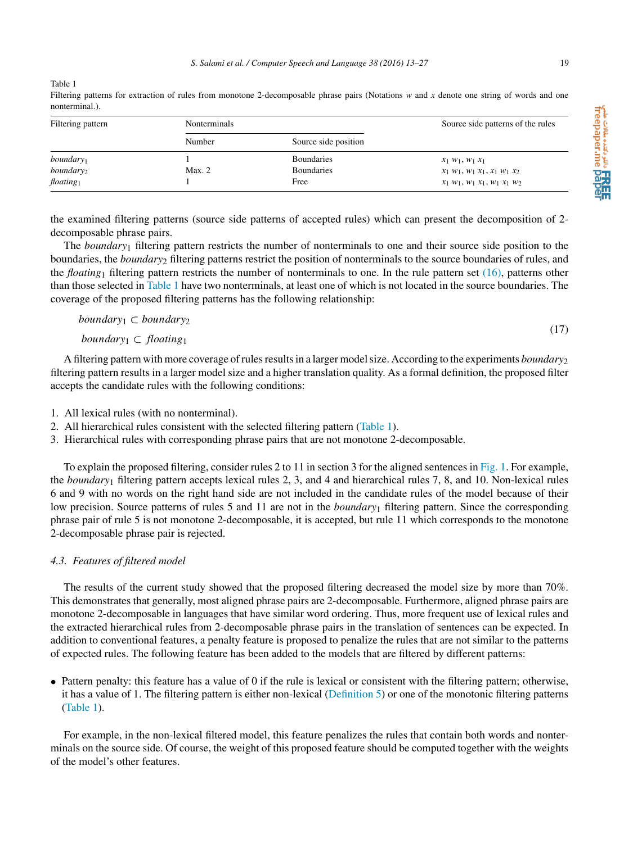<span id="page-6-0"></span>Table 1

| Filtering pattern                                              | Nonterminals |                                                | Source side patterns of the rules                                                                                                                              |
|----------------------------------------------------------------|--------------|------------------------------------------------|----------------------------------------------------------------------------------------------------------------------------------------------------------------|
|                                                                | Number       | Source side position                           |                                                                                                                                                                |
| boundary <sub>1</sub><br>boundary <sub>2</sub><br>$floating_1$ | Max. 2       | <b>Boundaries</b><br><b>Boundaries</b><br>Free | $x_1$ $w_1$ , $w_1$ , $x_1$<br>$x_1$ w <sub>1</sub> , w <sub>1</sub> $x_1$ , $x_1$ w <sub>1</sub> $x_2$<br>$x_1$ $w_1$ , $w_1$ , $x_1$ , $w_1$ , $x_1$ , $w_2$ |

Filtering patterns for extraction of rules from monotone 2-decomposable phrase pairs (Notations *w* and *x* denote one string of words and one nonterminal.).

the examined filtering patterns (source side patterns of accepted rules) which can present the decomposition of 2 decomposable phrase pairs.

The *boundary*<sup>1</sup> filtering pattern restricts the number of nonterminals to one and their source side position to the boundaries, the *boundary*<sup>2</sup> filtering patterns restrict the position of nonterminals to the source boundaries of rules, and the *floating*<sup>1</sup> filtering pattern restricts the number of nonterminals to one. In the rule pattern set [\(16\),](#page-5-0) patterns other than those selected in Table 1 have two nonterminals, at least one of which is not located in the source boundaries. The coverage of the proposed filtering patterns has the following relationship:

$$
boundary_1 \subset boundary_2 \tag{17}
$$

$$
boundary_1\subset floating_1
$$

A filtering pattern with more coverage of rules results in a larger model size. According to the experiments *boundary*? filtering pattern results in a larger model size and a higher translation quality. As a formal definition, the proposed filter accepts the candidate rules with the following conditions:

- 1. All lexical rules (with no nonterminal).
- 2. All hierarchical rules consistent with the selected filtering pattern (Table 1).
- 3. Hierarchical rules with corresponding phrase pairs that are not monotone 2-decomposable.

To explain the proposed filtering, consider rules 2 to 11 in section 3 for the aligned sentences in [Fig.](#page-3-0) 1. For example, the *boundary*<sup>1</sup> filtering pattern accepts lexical rules 2, 3, and 4 and hierarchical rules 7, 8, and 10. Non-lexical rules 6 and 9 with no words on the right hand side are not included in the candidate rules of the model because of their low precision. Source patterns of rules 5 and 11 are not in the *boundary*<sub>1</sub> filtering pattern. Since the corresponding phrase pair of rule 5 is not monotone 2-decomposable, it is accepted, but rule 11 which corresponds to the monotone 2-decomposable phrase pair is rejected.

# *4.3. Features of filtered model*

The results of the current study showed that the proposed filtering decreased the model size by more than 70%. This demonstrates that generally, most aligned phrase pairs are 2-decomposable. Furthermore, aligned phrase pairs are monotone 2-decomposable in languages that have similar word ordering. Thus, more frequent use of lexical rules and the extracted hierarchical rules from 2-decomposable phrase pairs in the translation of sentences can be expected. In addition to conventional features, a penalty feature is proposed to penalize the rules that are not similar to the patterns of expected rules. The following feature has been added to the models that are filtered by different patterns:

• Pattern penalty: this feature has a value of 0 if the rule is lexical or consistent with the filtering pattern; otherwise, it has a value of 1. The filtering pattern is either non-lexical [\(Definition](#page-5-0) [5\)](#page-5-0) or one of the monotonic filtering patterns (Table 1).

For example, in the non-lexical filtered model, this feature penalizes the rules that contain both words and nonterminals on the source side. Of course, the weight of this proposed feature should be computed together with the weights of the model's other features.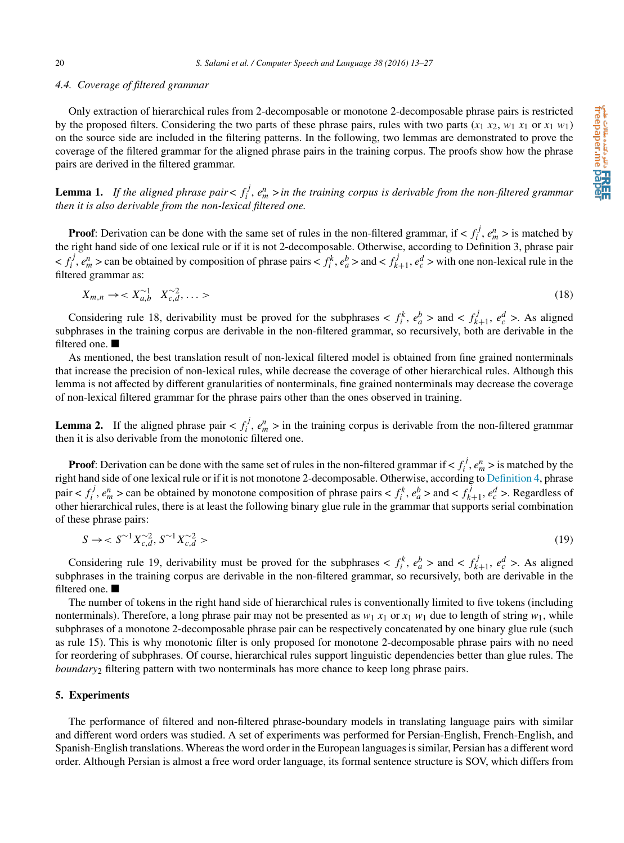# <span id="page-7-0"></span>*4.4. Coverage of filtered grammar*

Only extraction of hierarchical rules from 2-decomposable or monotone 2-decomposable phrase pairs is restricted by the proposed filters. Considering the two parts of these phrase pairs, rules with two parts  $(x_1, x_2, w_1, x_1, \text{ or } x_1, w_1)$ on the source side are included in the filtering patterns. In the following, two lemmas are demonstrated to prove the coverage of the filtered grammar for the aligned phrase pairs in the training corpus. The proofs show how the phrase pairs are derived in the filtered grammar.

**Lemma 1.** If the aligned phrase pair  $\langle f_i^j, e_m^n \rangle$  in the training corpus is derivable from the non-filtered grammar *then it is also derivable from the non-lexical filtered one.*

**Proof**: Derivation can be done with the same set of rules in the non-filtered grammar, if  $\lt f_i^j$ ,  $e_m^n$  > is matched by the right hand side of one lexical rule or if it is not 2-decomposable. Otherwise, according to Definition 3, phrase pair  $\langle f_i^j, e_m^n \rangle$  can be obtained by composition of phrase pairs  $\langle f_i^k, e_a^b \rangle$  and  $\langle f_{k+1}^j, e_c^d \rangle$  with one non-lexical rule in the filtered grammar as:

$$
X_{m,n} \to X_{a,b}^{\sim 1} \quad X_{c,d}^{\sim 2}, \ldots \tag{18}
$$

Considering rule 18, derivability must be proved for the subphrases  $\lt f_i^k$ ,  $e_a^b$  > and  $\lt f_{k+1}^j$ ,  $e_c^d$  >. As aligned subphrases in the training corpus are derivable in the non-filtered grammar, so recursively, both are derivable in the filtered one.  $\blacksquare$ 

As mentioned, the best translation result of non-lexical filtered model is obtained from fine grained nonterminals that increase the precision of non-lexical rules, while decrease the coverage of other hierarchical rules. Although this lemma is not affected by different granularities of nonterminals, fine grained nonterminals may decrease the coverage of non-lexical filtered grammar for the phrase pairs other than the ones observed in training.

**Lemma 2.** If the aligned phrase pair  $\lt f_i^j$ ,  $e_m^n$   $\gt$  in the training corpus is derivable from the non-filtered grammar then it is also derivable from the monotonic filtered one.

**Proof**: Derivation can be done with the same set of rules in the non-filtered grammar if  $\langle f_i^j, e_m^n \rangle$  is matched by the right hand side of one lexical rule or if it is not monotone 2-decomposable. Otherwise, according to [Definition](#page-4-0) [4,](#page-4-0) phrase pair  $\langle f_i^j, e_m^n \rangle$  can be obtained by monotone composition of phrase pairs  $\langle f_i^k, e_a^b \rangle$  and  $\langle f_{k+1}^j, e_c^d \rangle$ . Regardless of other hierarchical rules, there is at least the following binary glue rule in the grammar that supports serial combination of these phrase pairs:

$$
S \to S^{-1} X_{c,d}^{-2}, S^{-1} X_{c,d}^{-2} \tag{19}
$$

Considering rule 19, derivability must be proved for the subphrases  $\lt f_i^k$ ,  $e_a^b$  > and  $\lt f_{k+1}^j$ ,  $e_c^d$  >. As aligned subphrases in the training corpus are derivable in the non-filtered grammar, so recursively, both are derivable in the filtered one.  $\blacksquare$ 

The number of tokens in the right hand side of hierarchical rules is conventionally limited to five tokens (including nonterminals). Therefore, a long phrase pair may not be presented as  $w_1 x_1$  or  $x_1 w_1$  due to length of string  $w_1$ , while subphrases of a monotone 2-decomposable phrase pair can be respectively concatenated by one binary glue rule (such as rule 15). This is why monotonic filter is only proposed for monotone 2-decomposable phrase pairs with no need for reordering of subphrases. Of course, hierarchical rules support linguistic dependencies better than glue rules. The *boundary*<sup>2</sup> filtering pattern with two nonterminals has more chance to keep long phrase pairs.

#### **5. Experiments**

The performance of filtered and non-filtered phrase-boundary models in translating language pairs with similar and different word orders was studied. A set of experiments was performed for Persian-English, French-English, and Spanish-English translations. Whereasthe word order in the European languagesissimilar, Persian has a different word order. Although Persian is almost a free word order language, its formal sentence structure is SOV, which differs from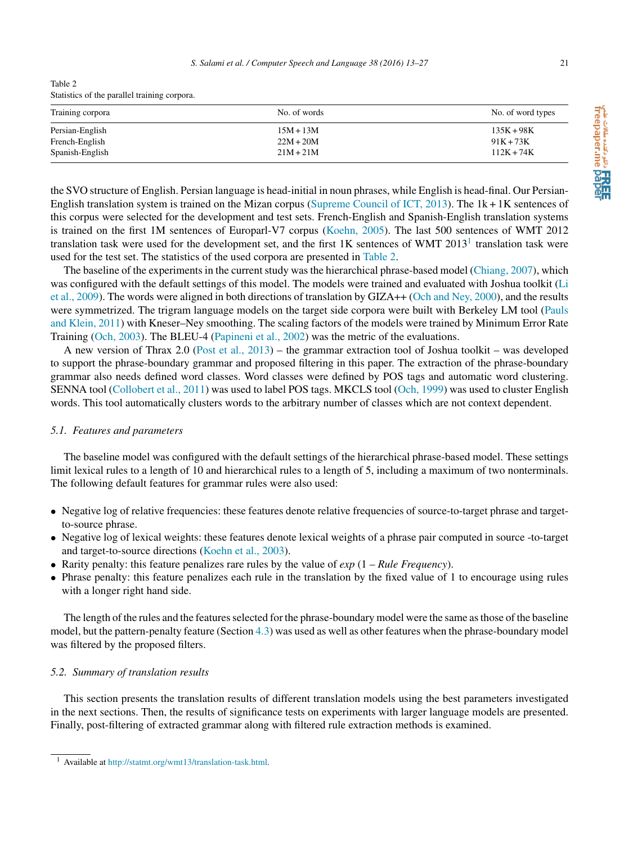Table 2 Statistics of the parallel training corpora.

| Training corpora | No. of words | No. of word types |
|------------------|--------------|-------------------|
| Persian-English  | $15M + 13M$  | $135K + 98K$      |
| French-English   | $22M + 20M$  | $91K + 73K$       |
| Spanish-English  | $21M + 21M$  | $112K + 74K$      |

the SVO structure of English. Persian language is head-initial in noun phrases, while English is head-final. Our Persian-English translation system is trained on the Mizan corpus [\(Supreme](#page-13-0) [Council](#page-13-0) [of](#page-13-0) [ICT,](#page-13-0) [2013\).](#page-13-0) The 1k + 1K sentences of this corpus were selected for the development and test sets. French-English and Spanish-English translation systems is trained on the first 1M sentences of Europarl-V7 corpus [\(Koehn,](#page-13-0) [2005\).](#page-13-0) The last 500 sentences of WMT 2012 translation task were used for the development set, and the first 1K sentences of WMT  $2013<sup>1</sup>$  translation task were used for the test set. The statistics of the used corpora are presented in Table 2.

The baseline of the experiments in the current study was the hierarchical phrase-based model ([Chiang,](#page-13-0) [2007\),](#page-13-0) which was configured with the default settings of this model. The models were trained and evaluated with Joshua toolkit [\(Li](#page-13-0) et [al.,](#page-13-0) [2009\).](#page-13-0) The words were aligned in both directions of translation by GIZA++ [\(Och](#page-13-0) [and](#page-13-0) [Ney,](#page-13-0) [2000\),](#page-13-0) and the results were symmetrized. The trigram language models on the target side corpora were built with Berkeley LM tool ([Pauls](#page-13-0) [and](#page-13-0) [Klein,](#page-13-0) [2011\)](#page-13-0) with Kneser–Ney smoothing. The scaling factors of the models were trained by Minimum Error Rate Training ([Och,](#page-13-0) [2003\).](#page-13-0) The BLEU-4 ([Papineni](#page-13-0) et [al.,](#page-13-0) [2002\)](#page-13-0) was the metric of the evaluations.

A new version of Thrax 2.0 [\(Post](#page-13-0) et [al.,](#page-13-0) [2013\)](#page-13-0) – the grammar extraction tool of Joshua toolkit – was developed to support the phrase-boundary grammar and proposed filtering in this paper. The extraction of the phrase-boundary grammar also needs defined word classes. Word classes were defined by POS tags and automatic word clustering. SENNA tool ([Collobert](#page-13-0) et [al.,](#page-13-0) [2011\)](#page-13-0) was used to label POS tags. MKCLS tool ([Och,](#page-13-0) [1999\)](#page-13-0) was used to cluster English words. This tool automatically clusters words to the arbitrary number of classes which are not context dependent.

# *5.1. Features and parameters*

The baseline model was configured with the default settings of the hierarchical phrase-based model. These settings limit lexical rules to a length of 10 and hierarchical rules to a length of 5, including a maximum of two nonterminals. The following default features for grammar rules were also used:

- Negative log of relative frequencies: these features denote relative frequencies of source-to-target phrase and targetto-source phrase.
- Negative log of lexical weights: these features denote lexical weights of a phrase pair computed in source -to-target and target-to-source directions [\(Koehn](#page-13-0) et [al.,](#page-13-0) [2003\).](#page-13-0)
- Rarity penalty: this feature penalizes rare rules by the value of *exp* (1 *Rule Frequency*).
- Phrase penalty: this feature penalizes each rule in the translation by the fixed value of 1 to encourage using rules with a longer right hand side.

The length of the rules and the features selected for the phrase-boundary model were the same as those of the baseline model, but the pattern-penalty feature (Section [4.3\)](#page-6-0) was used as well as other features when the phrase-boundary model was filtered by the proposed filters.

# *5.2. Summary of translation results*

This section presents the translation results of different translation models using the best parameters investigated in the next sections. Then, the results of significance tests on experiments with larger language models are presented. Finally, post-filtering of extracted grammar along with filtered rule extraction methods is examined.

<sup>1</sup> Available at <http://statmt.org/wmt13/translation-task.html>.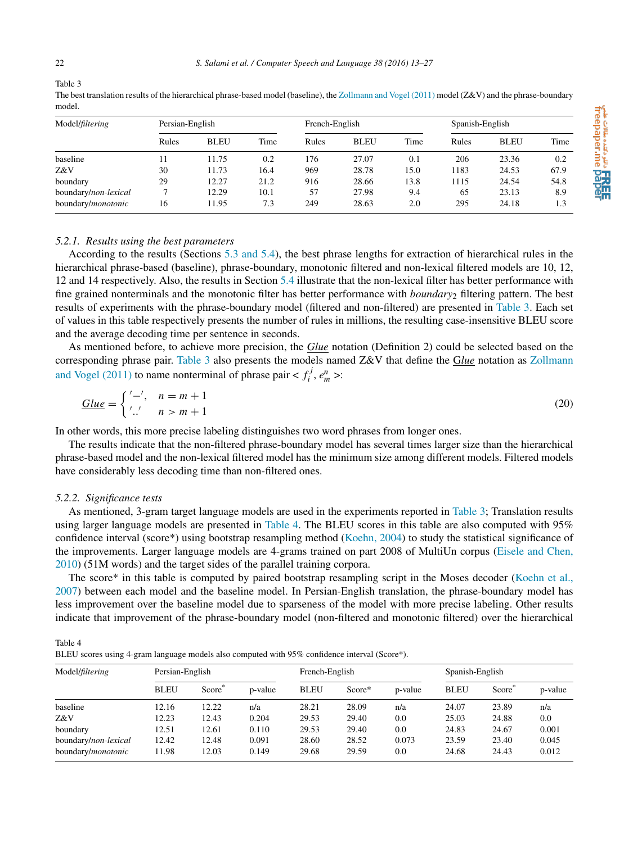<span id="page-9-0"></span>Table 3

The best translation results of the hierarchical phrase-based model (baseline), the [Zollmann](#page-14-0) [and](#page-14-0) [Vogel](#page-14-0) [\(2011\)](#page-14-0) model (Z&V) and the phrase-boundary model.

| Model/filtering      | Persian-English |             |      | French-English |             |      | Spanish-English |             |      |
|----------------------|-----------------|-------------|------|----------------|-------------|------|-----------------|-------------|------|
|                      | Rules           | <b>BLEU</b> | Time | Rules          | <b>BLEU</b> | Time | Rules           | <b>BLEU</b> | Time |
| baseline             |                 | 11.75       | 0.2  | 176            | 27.07       | 0.1  | 206             | 23.36       | 0.2  |
| Z&V                  | 30              | 11.73       | 16.4 | 969            | 28.78       | 15.0 | 1183            | 24.53       | 67.9 |
| boundary             | 29              | 12.27       | 21.2 | 916            | 28.66       | 13.8 | 1115            | 24.54       | 54.8 |
| boundary/non-lexical |                 | 12.29       | 10.1 | 57             | 27.98       | 9.4  | 65              | 23.13       | 8.9  |
| boundary/monotonic   | 16              | 11.95       | 7.3  | 249            | 28.63       | 2.0  | 295             | 24.18       | 1.3  |

# *5.2.1. Results using the best parameters*

According to the results (Sections [5.3](#page-10-0) [and](#page-10-0) [5.4\),](#page-10-0) the best phrase lengths for extraction of hierarchical rules in the hierarchical phrase-based (baseline), phrase-boundary, monotonic filtered and non-lexical filtered models are 10, 12, 12 and 14 respectively. Also, the results in Section [5.4](#page-11-0) illustrate that the non-lexical filter has better performance with fine grained nonterminals and the monotonic filter has better performance with *boundary*<sub>2</sub> filtering pattern. The best results of experiments with the phrase-boundary model (filtered and non-filtered) are presented in Table 3. Each set of values in this table respectively presents the number of rules in millions, the resulting case-insensitive BLEU score and the average decoding time per sentence in seconds.

As mentioned before, to achieve more precision, the *Glue* notation (Definition 2) could be selected based on the corresponding phrase pair. Table 3 also presents the models named Z&V that define the G*lue* notation as [Zollmann](#page-14-0) [and](#page-14-0) [Vogel](#page-14-0) [\(2011\)](#page-14-0) to name nonterminal of phrase pair  $\langle f_i^j, e_m^n \rangle$ :

$$
\underline{Glue} = \begin{cases} \n' -', & n = m + 1 \\ \n' \ldots & n > m + 1 \n\end{cases} \tag{20}
$$

In other words, this more precise labeling distinguishes two word phrases from longer ones.

The results indicate that the non-filtered phrase-boundary model has several times larger size than the hierarchical phrase-based model and the non-lexical filtered model has the minimum size among different models. Filtered models have considerably less decoding time than non-filtered ones.

# *5.2.2. Significance tests*

As mentioned, 3-gram target language models are used in the experiments reported in Table 3; Translation results using larger language models are presented in Table 4. The BLEU scores in this table are also computed with 95% confidence interval (score\*) using bootstrap resampling method ([Koehn,](#page-13-0) [2004\)](#page-13-0) to study the statistical significance of the improvements. Larger language models are 4-grams trained on part 2008 of MultiUn corpus ([Eisele](#page-13-0) [and](#page-13-0) [Chen,](#page-13-0) [2010\)](#page-13-0) (51M words) and the target sides of the parallel training corpora.

The score\* in this table is computed by paired bootstrap resampling script in the Moses decoder [\(Koehn](#page-13-0) et [al.,](#page-13-0) [2007\)](#page-13-0) between each model and the baseline model. In Persian-English translation, the phrase-boundary model has less improvement over the baseline model due to sparseness of the model with more precise labeling. Other results indicate that improvement of the phrase-boundary model (non-filtered and monotonic filtered) over the hierarchical

| Table 4                                                                                       |  |
|-----------------------------------------------------------------------------------------------|--|
| BLEU scores using 4-gram language models also computed with 95% confidence interval (Score*). |  |

| Model/filtering      | Persian-English |                    |         |             | French-English |         | Spanish-English |                    |         |
|----------------------|-----------------|--------------------|---------|-------------|----------------|---------|-----------------|--------------------|---------|
|                      | <b>BLEU</b>     | Score <sup>®</sup> | p-value | <b>BLEU</b> | Score*         | p-value | <b>BLEU</b>     | Score <sup>®</sup> | p-value |
| baseline             | 12.16           | 12.22              | n/a     | 28.21       | 28.09          | n/a     | 24.07           | 23.89              | n/a     |
| Z&V                  | 12.23           | 12.43              | 0.204   | 29.53       | 29.40          | 0.0     | 25.03           | 24.88              | 0.0     |
| boundary             | 12.51           | 12.61              | 0.110   | 29.53       | 29.40          | 0.0     | 24.83           | 24.67              | 0.001   |
| boundary/non-lexical | 12.42           | 12.48              | 0.091   | 28.60       | 28.52          | 0.073   | 23.59           | 23.40              | 0.045   |
| boundary/monotonic   | 11.98           | 12.03              | 0.149   | 29.68       | 29.59          | 0.0     | 24.68           | 24.43              | 0.012   |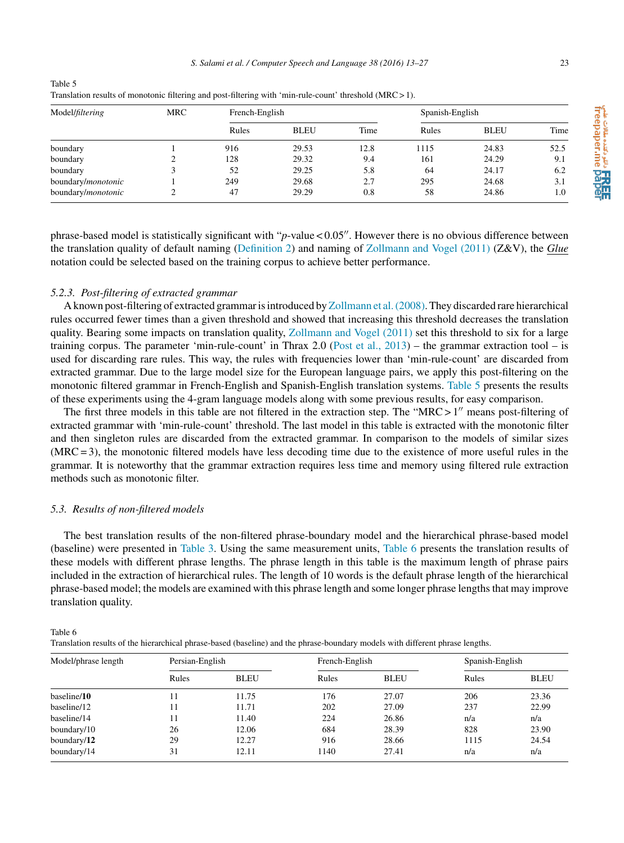*S. Salami et al. / Computer Speech and Language 38 (2016) 13–27* 23

<span id="page-10-0"></span>

| Table 5                                                                                                     |
|-------------------------------------------------------------------------------------------------------------|
| Translation results of monotonic filtering and post-filtering with 'min-rule-count' threshold $(MRC > 1)$ . |

| Model/filtering    | <b>MRC</b> |       | French-English |      |       | Spanish-English |      |  |
|--------------------|------------|-------|----------------|------|-------|-----------------|------|--|
|                    |            | Rules | <b>BLEU</b>    | Time | Rules | <b>BLEU</b>     | Time |  |
| boundary           |            | 916   | 29.53          | 12.8 | 1115  | 24.83           | 52.5 |  |
| boundary           |            | 128   | 29.32          | 9.4  | 161   | 24.29           | 9.1  |  |
| boundary           |            | 52    | 29.25          | 5.8  | 64    | 24.17           | 6.2  |  |
| boundary/monotonic |            | 249   | 29.68          | 2.7  | 295   | 24.68           | 3.1  |  |
| boundary/monotonic | ◠          | 47    | 29.29          | 0.8  | 58    | 24.86           | 1.0  |  |

phrase-based model is statistically significant with "*p*-value < 0.05 . However there is no obvious difference between the translation quality of default naming [\(Definition](#page-2-0) [2\)](#page-2-0) and naming of [Zollmann](#page-14-0) [and](#page-14-0) [Vogel](#page-14-0) [\(2011\)](#page-14-0) (Z&V), the *Glue* notation could be selected based on the training corpus to achieve better performance.

# *5.2.3. Post-filtering of extracted grammar*

A known post-filtering of extracted grammar is introduced by [Zollmann](#page-14-0) et al. (2008). They discarded rare hierarchical rules occurred fewer times than a given threshold and showed that increasing this threshold decreases the translation quality. Bearing some impacts on translation quality, [Zollmann](#page-14-0) [and](#page-14-0) [Vogel](#page-14-0) [\(2011\)](#page-14-0) set this threshold to six for a large training corpus. The parameter 'min-rule-count' in Thrax 2.0 ([Post](#page-13-0) et [al.,](#page-13-0) [2013\)](#page-13-0) – the grammar extraction tool – is used for discarding rare rules. This way, the rules with frequencies lower than 'min-rule-count' are discarded from extracted grammar. Due to the large model size for the European language pairs, we apply this post-filtering on the monotonic filtered grammar in French-English and Spanish-English translation systems. Table 5 presents the results of these experiments using the 4-gram language models along with some previous results, for easy comparison.

The first three models in this table are not filtered in the extraction step. The "MRC>1" means post-filtering of extracted grammar with 'min-rule-count' threshold. The last model in this table is extracted with the monotonic filter and then singleton rules are discarded from the extracted grammar. In comparison to the models of similar sizes (MRC= 3), the monotonic filtered models have less decoding time due to the existence of more useful rules in the grammar. It is noteworthy that the grammar extraction requires less time and memory using filtered rule extraction methods such as monotonic filter.

# *5.3. Results of non-filtered models*

Table 6

The best translation results of the non-filtered phrase-boundary model and the hierarchical phrase-based model (baseline) were presented in [Table](#page-9-0) 3. Using the same measurement units, Table 6 presents the translation results of these models with different phrase lengths. The phrase length in this table is the maximum length of phrase pairs included in the extraction of hierarchical rules. The length of 10 words is the default phrase length of the hierarchical phrase-based model; the models are examined with this phrase length and some longer phrase lengthsthat may improve translation quality.

Translation results of the hierarchical phrase-based (baseline) and the phrase-boundary models with different phrase lengths.

| Model/phrase length |       | Persian-English |       | French-English |       | Spanish-English |  |
|---------------------|-------|-----------------|-------|----------------|-------|-----------------|--|
|                     | Rules | <b>BLEU</b>     | Rules | <b>BLEU</b>    | Rules | <b>BLEU</b>     |  |
| baseline/10         |       | 11.75           | 176   | 27.07          | 206   | 23.36           |  |
| baseline/12         |       | 11.71           | 202   | 27.09          | 237   | 22.99           |  |
| baseline/14         |       | 11.40           | 224   | 26.86          | n/a   | n/a             |  |
| boundary/10         | 26    | 12.06           | 684   | 28.39          | 828   | 23.90           |  |
| boundary/12         | 29    | 12.27           | 916   | 28.66          | 1115  | 24.54           |  |
| boundary/14         | 31    | 12.11           | 1140  | 27.41          | n/a   | n/a             |  |

r KEI) او نالودکنده مقالات علمی<br>freepaper.me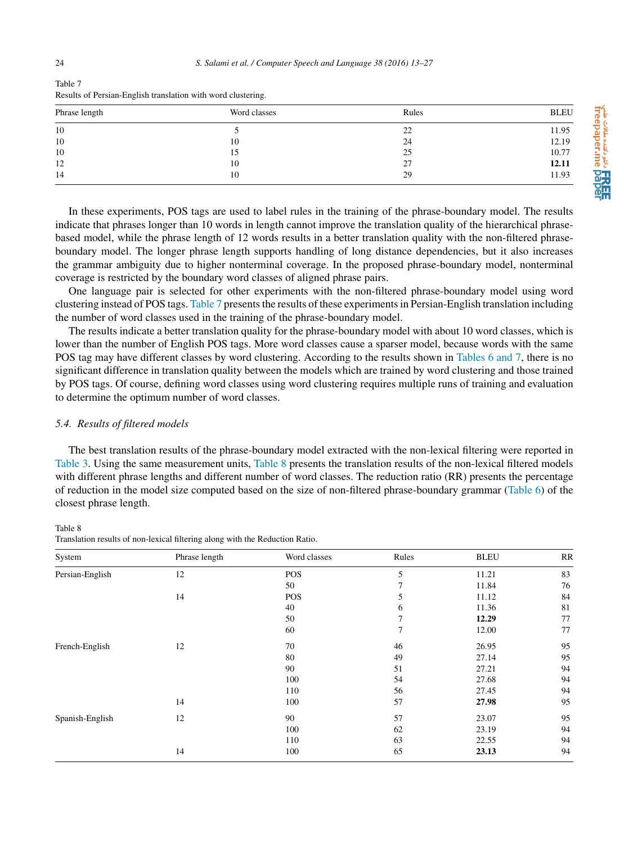<span id="page-11-0"></span>

| Word classes | Rules | <b>BLEU</b> |
|--------------|-------|-------------|
|              | 22    | 11.95       |
| 10           | 24    | 12.19       |
| 15           | 25    | 10.77       |
| 10           | 27    | 12.11       |
| 10           | 29    | 11.93       |
|              |       |             |

Table 7 Results of Persian-English translation with word clustering.

In these experiments, POS tags are used to label rules in the training of the phrase-boundary model. The results indicate that phrases longer than 10 words in length cannot improve the translation quality of the hierarchical phrasebased model, while the phrase length of 12 words results in a better translation quality with the non-filtered phraseboundary model. The longer phrase length supports handling of long distance dependencies, but it also increases the grammar ambiguity due to higher nonterminal coverage. In the proposed phrase-boundary model, nonterminal coverage is restricted by the boundary word classes of aligned phrase pairs.

One language pair is selected for other experiments with the non-filtered phrase-boundary model using word clustering instead of POS tags. Table 7 presents the results of these experiments in Persian-English translation including the number of word classes used in the training of the phrase-boundary model.

The results indicate a better translation quality for the phrase-boundary model with about 10 word classes, which is lower than the number of English POS tags. More word classes cause a sparser model, because words with the same POS tag may have different classes by word clustering. According to the results shown in [Tables](#page-10-0) 6 and 7, there is no significant difference in translation quality between the models which are trained by word clustering and those trained by POS tags. Of course, defining word classes using word clustering requires multiple runs of training and evaluation to determine the optimum number of word classes.

# *5.4. Results of filtered models*

The best translation results of the phrase-boundary model extracted with the non-lexical filtering were reported in [Table](#page-9-0) 3. Using the same measurement units, Table 8 presents the translation results of the non-lexical filtered models with different phrase lengths and different number of word classes. The reduction ratio (RR) presents the percentage of reduction in the model size computed based on the size of non-filtered phrase-boundary grammar ([Table](#page-10-0) 6) of the closest phrase length.

Table 8 Translation results of non-lexical filtering along with the Reduction Ratio.

| System          | Phrase length | Word classes | Rules | <b>BLEU</b> | <b>RR</b> |
|-----------------|---------------|--------------|-------|-------------|-----------|
| Persian-English | 12            | <b>POS</b>   | 5     | 11.21       | 83        |
|                 |               | 50           | 7     | 11.84       | 76        |
|                 | 14            | <b>POS</b>   | 5     | 11.12       | 84        |
|                 |               | 40           | 6     | 11.36       | 81        |
|                 |               | 50           | 7     | 12.29       | 77        |
|                 |               | 60           | 7     | 12.00       | 77        |
| French-English  | 12            | 70           | 46    | 26.95       | 95        |
|                 |               | 80           | 49    | 27.14       | 95        |
|                 |               | 90           | 51    | 27.21       | 94        |
|                 |               | 100          | 54    | 27.68       | 94        |
|                 |               | 110          | 56    | 27.45       | 94        |
|                 | 14            | 100          | 57    | 27.98       | 95        |
| Spanish-English | 12            | 90           | 57    | 23.07       | 95        |
|                 |               | 100          | 62    | 23.19       | 94        |
|                 |               | 110          | 63    | 22.55       | 94        |
|                 | 14            | 100          | 65    | 23.13       | 94        |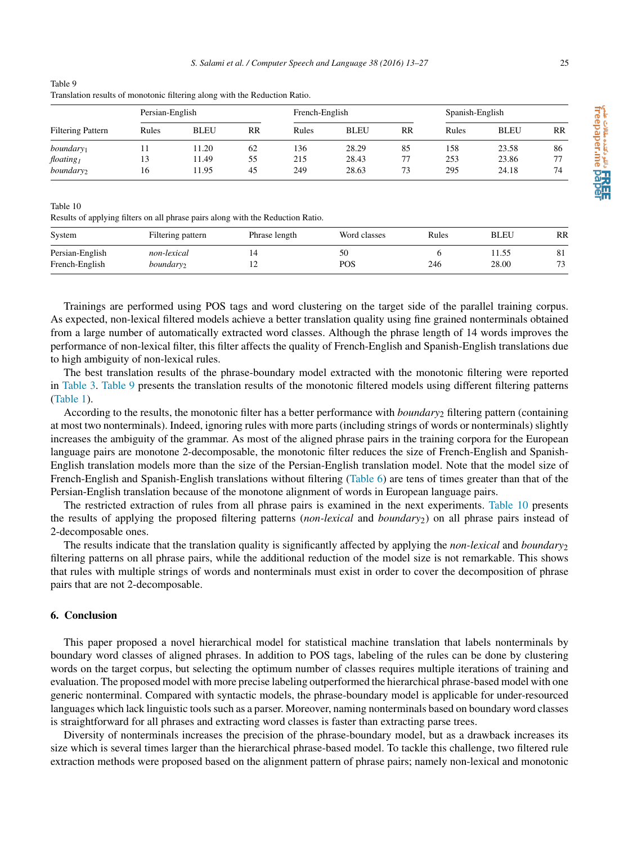<span id="page-12-0"></span>Table 9 Translation results of monotonic filtering along with the Reduction Ratio.

| <b>Filtering Pattern</b> | Persian-English |             |           | French-English |             |    | Spanish-English |             |           |
|--------------------------|-----------------|-------------|-----------|----------------|-------------|----|-----------------|-------------|-----------|
|                          | Rules           | <b>BLEU</b> | <b>RR</b> | Rules          | <b>BLEU</b> | RR | Rules           | <b>BLEU</b> | <b>RR</b> |
| $boundary_1$             |                 | 11.20       | 62        | 136            | 28.29       | 85 | 158             | 23.58       | 86        |
| floating <sub>l</sub>    | 13              | 11.49       | 55        | 215            | 28.43       | 77 | 253             | 23.86       | 77        |
| boundary <sub>2</sub>    | 16              | 11.95       | 45        | 249            | 28.63       | 73 | 295             | 24.18       | 74        |

Table 10

Results of applying filters on all phrase pairs along with the Reduction Ratio.

| System          | Filtering pattern     | Phrase length | Word classes | Rules | <b>BLEL</b> | <b>RR</b> |
|-----------------|-----------------------|---------------|--------------|-------|-------------|-----------|
| Persian-English | non-lexical           |               | 50           |       | 11.55       | 81        |
| French-English  | boundary <sub>2</sub> |               | POS          | 246   | 28.00       | 73        |

Trainings are performed using POS tags and word clustering on the target side of the parallel training corpus. As expected, non-lexical filtered models achieve a better translation quality using fine grained nonterminals obtained from a large number of automatically extracted word classes. Although the phrase length of 14 words improves the performance of non-lexical filter, this filter affects the quality of French-English and Spanish-English translations due to high ambiguity of non-lexical rules.

The best translation results of the phrase-boundary model extracted with the monotonic filtering were reported in [Table](#page-9-0) 3. Table 9 presents the translation results of the monotonic filtered models using different filtering patterns [\(Table](#page-6-0) 1).

According to the results, the monotonic filter has a better performance with *boundary*<sup>2</sup> filtering pattern (containing at most two nonterminals). Indeed, ignoring rules with more parts (including strings of words or nonterminals) slightly increases the ambiguity of the grammar. As most of the aligned phrase pairs in the training corpora for the European language pairs are monotone 2-decomposable, the monotonic filter reduces the size of French-English and Spanish-English translation models more than the size of the Persian-English translation model. Note that the model size of French-English and Spanish-English translations without filtering [\(Table](#page-10-0) 6) are tens of times greater than that of the Persian-English translation because of the monotone alignment of words in European language pairs.

The restricted extraction of rules from all phrase pairs is examined in the next experiments. Table 10 presents the results of applying the proposed filtering patterns (*non-lexical* and *boundary*2) on all phrase pairs instead of 2-decomposable ones.

The results indicate that the translation quality is significantly affected by applying the *non-lexical* and *boundary*<sup>2</sup> filtering patterns on all phrase pairs, while the additional reduction of the model size is not remarkable. This shows that rules with multiple strings of words and nonterminals must exist in order to cover the decomposition of phrase pairs that are not 2-decomposable.

# **6. Conclusion**

This paper proposed a novel hierarchical model for statistical machine translation that labels nonterminals by boundary word classes of aligned phrases. In addition to POS tags, labeling of the rules can be done by clustering words on the target corpus, but selecting the optimum number of classes requires multiple iterations of training and evaluation. The proposed model with more precise labeling outperformed the hierarchical phrase-based model with one generic nonterminal. Compared with syntactic models, the phrase-boundary model is applicable for under-resourced languages which lack linguistic tools such as a parser. Moreover, naming nonterminals based on boundary word classes is straightforward for all phrases and extracting word classes is faster than extracting parse trees.

Diversity of nonterminals increases the precision of the phrase-boundary model, but as a drawback increases its size which is several times larger than the hierarchical phrase-based model. To tackle this challenge, two filtered rule extraction methods were proposed based on the alignment pattern of phrase pairs; namely non-lexical and monotonic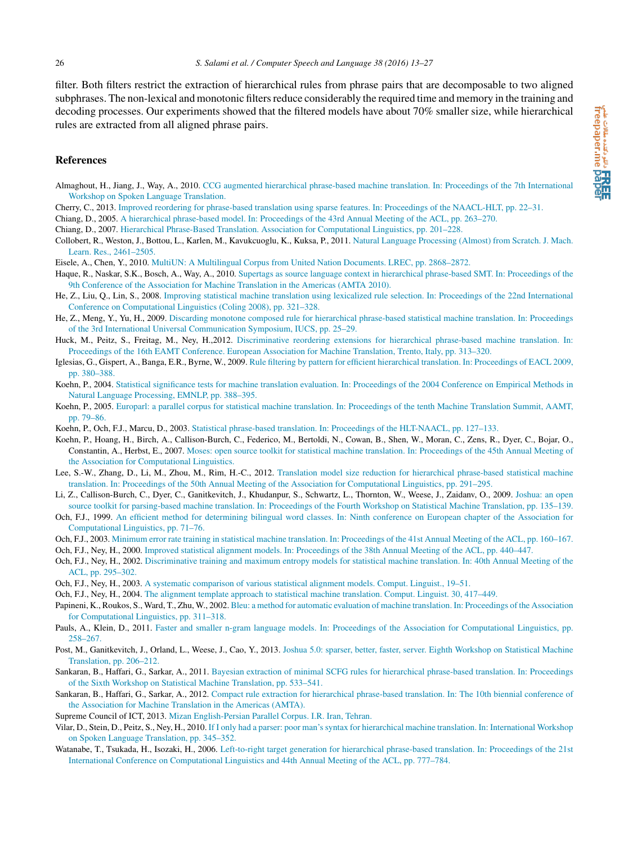<span id="page-13-0"></span>filter. Both filters restrict the extraction of hierarchical rules from phrase pairs that are decomposable to two aligned subphrases. The non-lexical and monotonic filters reduce considerably the required time and memory in the training and decoding processes. Our experiments showed that the filtered models have about 70% smaller size, while hierarchical rules are extracted from all aligned phrase pairs.

# **References**

- Almaghout, H., Jiang, J., Way, A., 2010. [CCG](http://refhub.elsevier.com/S0885-2308(15)00109-6/sbref0005) [augmented](http://refhub.elsevier.com/S0885-2308(15)00109-6/sbref0005) [hierarchical](http://refhub.elsevier.com/S0885-2308(15)00109-6/sbref0005) [phrase-based](http://refhub.elsevier.com/S0885-2308(15)00109-6/sbref0005) [machine](http://refhub.elsevier.com/S0885-2308(15)00109-6/sbref0005) [translation.](http://refhub.elsevier.com/S0885-2308(15)00109-6/sbref0005) [In:](http://refhub.elsevier.com/S0885-2308(15)00109-6/sbref0005) [Proceedings](http://refhub.elsevier.com/S0885-2308(15)00109-6/sbref0005) [of](http://refhub.elsevier.com/S0885-2308(15)00109-6/sbref0005) [the](http://refhub.elsevier.com/S0885-2308(15)00109-6/sbref0005) [7th](http://refhub.elsevier.com/S0885-2308(15)00109-6/sbref0005) [International](http://refhub.elsevier.com/S0885-2308(15)00109-6/sbref0005) [Workshop](http://refhub.elsevier.com/S0885-2308(15)00109-6/sbref0005) [on](http://refhub.elsevier.com/S0885-2308(15)00109-6/sbref0005) [Spoken](http://refhub.elsevier.com/S0885-2308(15)00109-6/sbref0005) [Language](http://refhub.elsevier.com/S0885-2308(15)00109-6/sbref0005) [Translation.](http://refhub.elsevier.com/S0885-2308(15)00109-6/sbref0005)
- Cherry, C., 2013. [Improved](http://refhub.elsevier.com/S0885-2308(15)00109-6/sbref0010) [reordering](http://refhub.elsevier.com/S0885-2308(15)00109-6/sbref0010) [for](http://refhub.elsevier.com/S0885-2308(15)00109-6/sbref0010) [phrase-based](http://refhub.elsevier.com/S0885-2308(15)00109-6/sbref0010) [translation](http://refhub.elsevier.com/S0885-2308(15)00109-6/sbref0010) [using](http://refhub.elsevier.com/S0885-2308(15)00109-6/sbref0010) [sparse](http://refhub.elsevier.com/S0885-2308(15)00109-6/sbref0010) [features.](http://refhub.elsevier.com/S0885-2308(15)00109-6/sbref0010) [In:](http://refhub.elsevier.com/S0885-2308(15)00109-6/sbref0010) [Proceedings](http://refhub.elsevier.com/S0885-2308(15)00109-6/sbref0010) [of](http://refhub.elsevier.com/S0885-2308(15)00109-6/sbref0010) [the](http://refhub.elsevier.com/S0885-2308(15)00109-6/sbref0010) [NAACL-HLT,](http://refhub.elsevier.com/S0885-2308(15)00109-6/sbref0010) [pp.](http://refhub.elsevier.com/S0885-2308(15)00109-6/sbref0010) [22–31.](http://refhub.elsevier.com/S0885-2308(15)00109-6/sbref0010)
- Chiang, D., 2005. [A](http://refhub.elsevier.com/S0885-2308(15)00109-6/sbref0015) [hierarchical](http://refhub.elsevier.com/S0885-2308(15)00109-6/sbref0015) [phrase-based](http://refhub.elsevier.com/S0885-2308(15)00109-6/sbref0015) [model.](http://refhub.elsevier.com/S0885-2308(15)00109-6/sbref0015) [In:](http://refhub.elsevier.com/S0885-2308(15)00109-6/sbref0015) [Proceedings](http://refhub.elsevier.com/S0885-2308(15)00109-6/sbref0015) [of](http://refhub.elsevier.com/S0885-2308(15)00109-6/sbref0015) [the](http://refhub.elsevier.com/S0885-2308(15)00109-6/sbref0015) [43rd](http://refhub.elsevier.com/S0885-2308(15)00109-6/sbref0015) [Annual](http://refhub.elsevier.com/S0885-2308(15)00109-6/sbref0015) [Meeting](http://refhub.elsevier.com/S0885-2308(15)00109-6/sbref0015) [of](http://refhub.elsevier.com/S0885-2308(15)00109-6/sbref0015) [the](http://refhub.elsevier.com/S0885-2308(15)00109-6/sbref0015) [ACL,](http://refhub.elsevier.com/S0885-2308(15)00109-6/sbref0015) [pp.](http://refhub.elsevier.com/S0885-2308(15)00109-6/sbref0015) [263–270.](http://refhub.elsevier.com/S0885-2308(15)00109-6/sbref0015)
- Chiang, D., 2007. [Hierarchical](http://refhub.elsevier.com/S0885-2308(15)00109-6/sbref0020) [Phrase-Based](http://refhub.elsevier.com/S0885-2308(15)00109-6/sbref0020) [Translation.](http://refhub.elsevier.com/S0885-2308(15)00109-6/sbref0020) [Association](http://refhub.elsevier.com/S0885-2308(15)00109-6/sbref0020) [for](http://refhub.elsevier.com/S0885-2308(15)00109-6/sbref0020) [Computational](http://refhub.elsevier.com/S0885-2308(15)00109-6/sbref0020) [Linguistics,](http://refhub.elsevier.com/S0885-2308(15)00109-6/sbref0020) [pp.](http://refhub.elsevier.com/S0885-2308(15)00109-6/sbref0020) [201–228.](http://refhub.elsevier.com/S0885-2308(15)00109-6/sbref0020)
- Collobert, R., Weston, J., Bottou, L., Karlen, M., Kavukcuoglu, K., Kuksa, P., 2011. [Natural](http://refhub.elsevier.com/S0885-2308(15)00109-6/sbref0025) [Language](http://refhub.elsevier.com/S0885-2308(15)00109-6/sbref0025) [Processing](http://refhub.elsevier.com/S0885-2308(15)00109-6/sbref0025) [\(Almost\)](http://refhub.elsevier.com/S0885-2308(15)00109-6/sbref0025) [from](http://refhub.elsevier.com/S0885-2308(15)00109-6/sbref0025) [Scratch.](http://refhub.elsevier.com/S0885-2308(15)00109-6/sbref0025) [J.](http://refhub.elsevier.com/S0885-2308(15)00109-6/sbref0025) [Mach.](http://refhub.elsevier.com/S0885-2308(15)00109-6/sbref0025) [Learn.](http://refhub.elsevier.com/S0885-2308(15)00109-6/sbref0025) [Res.,](http://refhub.elsevier.com/S0885-2308(15)00109-6/sbref0025) [2461–2505.](http://refhub.elsevier.com/S0885-2308(15)00109-6/sbref0025)
- Eisele, A., Chen, Y., 2010. [MultiUN:](http://refhub.elsevier.com/S0885-2308(15)00109-6/sbref0030) [A](http://refhub.elsevier.com/S0885-2308(15)00109-6/sbref0030) [Multilingual](http://refhub.elsevier.com/S0885-2308(15)00109-6/sbref0030) [Corpus](http://refhub.elsevier.com/S0885-2308(15)00109-6/sbref0030) [from](http://refhub.elsevier.com/S0885-2308(15)00109-6/sbref0030) [United](http://refhub.elsevier.com/S0885-2308(15)00109-6/sbref0030) [Nation](http://refhub.elsevier.com/S0885-2308(15)00109-6/sbref0030) [Documents.](http://refhub.elsevier.com/S0885-2308(15)00109-6/sbref0030) [LREC,](http://refhub.elsevier.com/S0885-2308(15)00109-6/sbref0030) [pp.](http://refhub.elsevier.com/S0885-2308(15)00109-6/sbref0030) [2868–2872.](http://refhub.elsevier.com/S0885-2308(15)00109-6/sbref0030)
- Haque, R., Naskar, S.K., Bosch, A., Way, A., 2010. [Supertags](http://refhub.elsevier.com/S0885-2308(15)00109-6/sbref0035) [as](http://refhub.elsevier.com/S0885-2308(15)00109-6/sbref0035) [source](http://refhub.elsevier.com/S0885-2308(15)00109-6/sbref0035) [language](http://refhub.elsevier.com/S0885-2308(15)00109-6/sbref0035) [context](http://refhub.elsevier.com/S0885-2308(15)00109-6/sbref0035) [in](http://refhub.elsevier.com/S0885-2308(15)00109-6/sbref0035) [hierarchical](http://refhub.elsevier.com/S0885-2308(15)00109-6/sbref0035) [phrase-based](http://refhub.elsevier.com/S0885-2308(15)00109-6/sbref0035) [SMT.](http://refhub.elsevier.com/S0885-2308(15)00109-6/sbref0035) [In:](http://refhub.elsevier.com/S0885-2308(15)00109-6/sbref0035) [Proceedings](http://refhub.elsevier.com/S0885-2308(15)00109-6/sbref0035) [of](http://refhub.elsevier.com/S0885-2308(15)00109-6/sbref0035) [the](http://refhub.elsevier.com/S0885-2308(15)00109-6/sbref0035) [9th](http://refhub.elsevier.com/S0885-2308(15)00109-6/sbref0035) [Conference](http://refhub.elsevier.com/S0885-2308(15)00109-6/sbref0035) [of](http://refhub.elsevier.com/S0885-2308(15)00109-6/sbref0035) [the](http://refhub.elsevier.com/S0885-2308(15)00109-6/sbref0035) [Association](http://refhub.elsevier.com/S0885-2308(15)00109-6/sbref0035) [for](http://refhub.elsevier.com/S0885-2308(15)00109-6/sbref0035) [Machine](http://refhub.elsevier.com/S0885-2308(15)00109-6/sbref0035) [Translation](http://refhub.elsevier.com/S0885-2308(15)00109-6/sbref0035) [in](http://refhub.elsevier.com/S0885-2308(15)00109-6/sbref0035) [the](http://refhub.elsevier.com/S0885-2308(15)00109-6/sbref0035) [Americas](http://refhub.elsevier.com/S0885-2308(15)00109-6/sbref0035) [\(AMTA](http://refhub.elsevier.com/S0885-2308(15)00109-6/sbref0035) [2010\).](http://refhub.elsevier.com/S0885-2308(15)00109-6/sbref0035)
- He, Z., Liu, Q., Lin, S., 2008. [Improving](http://refhub.elsevier.com/S0885-2308(15)00109-6/sbref0040) [statistical](http://refhub.elsevier.com/S0885-2308(15)00109-6/sbref0040) [machine](http://refhub.elsevier.com/S0885-2308(15)00109-6/sbref0040) [translation](http://refhub.elsevier.com/S0885-2308(15)00109-6/sbref0040) [using](http://refhub.elsevier.com/S0885-2308(15)00109-6/sbref0040) [lexicalized](http://refhub.elsevier.com/S0885-2308(15)00109-6/sbref0040) [rule](http://refhub.elsevier.com/S0885-2308(15)00109-6/sbref0040) [selection.](http://refhub.elsevier.com/S0885-2308(15)00109-6/sbref0040) [In:](http://refhub.elsevier.com/S0885-2308(15)00109-6/sbref0040) [Proceedings](http://refhub.elsevier.com/S0885-2308(15)00109-6/sbref0040) [of](http://refhub.elsevier.com/S0885-2308(15)00109-6/sbref0040) [the](http://refhub.elsevier.com/S0885-2308(15)00109-6/sbref0040) [22nd](http://refhub.elsevier.com/S0885-2308(15)00109-6/sbref0040) [International](http://refhub.elsevier.com/S0885-2308(15)00109-6/sbref0040) [Conference](http://refhub.elsevier.com/S0885-2308(15)00109-6/sbref0040) [on](http://refhub.elsevier.com/S0885-2308(15)00109-6/sbref0040) [Computational](http://refhub.elsevier.com/S0885-2308(15)00109-6/sbref0040) [Linguistics](http://refhub.elsevier.com/S0885-2308(15)00109-6/sbref0040) [\(Coling](http://refhub.elsevier.com/S0885-2308(15)00109-6/sbref0040) [2008\),](http://refhub.elsevier.com/S0885-2308(15)00109-6/sbref0040) [pp.](http://refhub.elsevier.com/S0885-2308(15)00109-6/sbref0040) [321–328.](http://refhub.elsevier.com/S0885-2308(15)00109-6/sbref0040)
- He, Z., Meng, Y., Yu, H., 2009. [Discarding](http://refhub.elsevier.com/S0885-2308(15)00109-6/sbref0045) [monotone](http://refhub.elsevier.com/S0885-2308(15)00109-6/sbref0045) [composed](http://refhub.elsevier.com/S0885-2308(15)00109-6/sbref0045) [rule](http://refhub.elsevier.com/S0885-2308(15)00109-6/sbref0045) [for](http://refhub.elsevier.com/S0885-2308(15)00109-6/sbref0045) [hierarchical](http://refhub.elsevier.com/S0885-2308(15)00109-6/sbref0045) [phrase-based](http://refhub.elsevier.com/S0885-2308(15)00109-6/sbref0045) [statistical](http://refhub.elsevier.com/S0885-2308(15)00109-6/sbref0045) [machine](http://refhub.elsevier.com/S0885-2308(15)00109-6/sbref0045) [translation.](http://refhub.elsevier.com/S0885-2308(15)00109-6/sbref0045) [In:](http://refhub.elsevier.com/S0885-2308(15)00109-6/sbref0045) [Proceedings](http://refhub.elsevier.com/S0885-2308(15)00109-6/sbref0045) [of](http://refhub.elsevier.com/S0885-2308(15)00109-6/sbref0045) [the](http://refhub.elsevier.com/S0885-2308(15)00109-6/sbref0045) [3rd](http://refhub.elsevier.com/S0885-2308(15)00109-6/sbref0045) [International](http://refhub.elsevier.com/S0885-2308(15)00109-6/sbref0045) [Universal](http://refhub.elsevier.com/S0885-2308(15)00109-6/sbref0045) [Communication](http://refhub.elsevier.com/S0885-2308(15)00109-6/sbref0045) [Symposium,](http://refhub.elsevier.com/S0885-2308(15)00109-6/sbref0045) [IUCS,](http://refhub.elsevier.com/S0885-2308(15)00109-6/sbref0045) [pp.](http://refhub.elsevier.com/S0885-2308(15)00109-6/sbref0045) [25–29.](http://refhub.elsevier.com/S0885-2308(15)00109-6/sbref0045)
- Huck, M., Peitz, S., Freitag, M., Ney, H.,2012. [Discriminative](http://refhub.elsevier.com/S0885-2308(15)00109-6/sbref0050) [reordering](http://refhub.elsevier.com/S0885-2308(15)00109-6/sbref0050) [extensions](http://refhub.elsevier.com/S0885-2308(15)00109-6/sbref0050) [for](http://refhub.elsevier.com/S0885-2308(15)00109-6/sbref0050) [hierarchical](http://refhub.elsevier.com/S0885-2308(15)00109-6/sbref0050) [phrase-based](http://refhub.elsevier.com/S0885-2308(15)00109-6/sbref0050) [machine](http://refhub.elsevier.com/S0885-2308(15)00109-6/sbref0050) [translation.](http://refhub.elsevier.com/S0885-2308(15)00109-6/sbref0050) [In:](http://refhub.elsevier.com/S0885-2308(15)00109-6/sbref0050) [Proceedings](http://refhub.elsevier.com/S0885-2308(15)00109-6/sbref0050) [of](http://refhub.elsevier.com/S0885-2308(15)00109-6/sbref0050) [the](http://refhub.elsevier.com/S0885-2308(15)00109-6/sbref0050) [16th](http://refhub.elsevier.com/S0885-2308(15)00109-6/sbref0050) [EAMT](http://refhub.elsevier.com/S0885-2308(15)00109-6/sbref0050) [Conference.](http://refhub.elsevier.com/S0885-2308(15)00109-6/sbref0050) [European](http://refhub.elsevier.com/S0885-2308(15)00109-6/sbref0050) [Association](http://refhub.elsevier.com/S0885-2308(15)00109-6/sbref0050) [for](http://refhub.elsevier.com/S0885-2308(15)00109-6/sbref0050) [Machine](http://refhub.elsevier.com/S0885-2308(15)00109-6/sbref0050) [Translation,](http://refhub.elsevier.com/S0885-2308(15)00109-6/sbref0050) [Trento,](http://refhub.elsevier.com/S0885-2308(15)00109-6/sbref0050) [Italy,](http://refhub.elsevier.com/S0885-2308(15)00109-6/sbref0050) [pp.](http://refhub.elsevier.com/S0885-2308(15)00109-6/sbref0050) [313](http://refhub.elsevier.com/S0885-2308(15)00109-6/sbref0050)–[320.](http://refhub.elsevier.com/S0885-2308(15)00109-6/sbref0050)
- Iglesias, G., Gispert, A., Banga, E.R., Byrne, W., 2009. [Rule](http://refhub.elsevier.com/S0885-2308(15)00109-6/sbref0055) [filtering](http://refhub.elsevier.com/S0885-2308(15)00109-6/sbref0055) [by](http://refhub.elsevier.com/S0885-2308(15)00109-6/sbref0055) [pattern](http://refhub.elsevier.com/S0885-2308(15)00109-6/sbref0055) [for](http://refhub.elsevier.com/S0885-2308(15)00109-6/sbref0055) [efficient](http://refhub.elsevier.com/S0885-2308(15)00109-6/sbref0055) [hierarchical](http://refhub.elsevier.com/S0885-2308(15)00109-6/sbref0055) [translation.](http://refhub.elsevier.com/S0885-2308(15)00109-6/sbref0055) [In:](http://refhub.elsevier.com/S0885-2308(15)00109-6/sbref0055) [Proceedings](http://refhub.elsevier.com/S0885-2308(15)00109-6/sbref0055) [of](http://refhub.elsevier.com/S0885-2308(15)00109-6/sbref0055) [EACL](http://refhub.elsevier.com/S0885-2308(15)00109-6/sbref0055) [2009,](http://refhub.elsevier.com/S0885-2308(15)00109-6/sbref0055) [pp.](http://refhub.elsevier.com/S0885-2308(15)00109-6/sbref0055) [380–388.](http://refhub.elsevier.com/S0885-2308(15)00109-6/sbref0055)
- Koehn, P., 2004. [Statistical](http://refhub.elsevier.com/S0885-2308(15)00109-6/sbref0060) [significance](http://refhub.elsevier.com/S0885-2308(15)00109-6/sbref0060) [tests](http://refhub.elsevier.com/S0885-2308(15)00109-6/sbref0060) [for](http://refhub.elsevier.com/S0885-2308(15)00109-6/sbref0060) [machine](http://refhub.elsevier.com/S0885-2308(15)00109-6/sbref0060) [translation](http://refhub.elsevier.com/S0885-2308(15)00109-6/sbref0060) [evaluation.](http://refhub.elsevier.com/S0885-2308(15)00109-6/sbref0060) [In:](http://refhub.elsevier.com/S0885-2308(15)00109-6/sbref0060) [Proceedings](http://refhub.elsevier.com/S0885-2308(15)00109-6/sbref0060) [of](http://refhub.elsevier.com/S0885-2308(15)00109-6/sbref0060) [the](http://refhub.elsevier.com/S0885-2308(15)00109-6/sbref0060) [2004](http://refhub.elsevier.com/S0885-2308(15)00109-6/sbref0060) [Conference](http://refhub.elsevier.com/S0885-2308(15)00109-6/sbref0060) [on](http://refhub.elsevier.com/S0885-2308(15)00109-6/sbref0060) [Empirical](http://refhub.elsevier.com/S0885-2308(15)00109-6/sbref0060) [Methods](http://refhub.elsevier.com/S0885-2308(15)00109-6/sbref0060) [in](http://refhub.elsevier.com/S0885-2308(15)00109-6/sbref0060) [Natural](http://refhub.elsevier.com/S0885-2308(15)00109-6/sbref0060) [Language](http://refhub.elsevier.com/S0885-2308(15)00109-6/sbref0060) [Processing,](http://refhub.elsevier.com/S0885-2308(15)00109-6/sbref0060) [EMNLP,](http://refhub.elsevier.com/S0885-2308(15)00109-6/sbref0060) [pp.](http://refhub.elsevier.com/S0885-2308(15)00109-6/sbref0060) [388–395.](http://refhub.elsevier.com/S0885-2308(15)00109-6/sbref0060)
- Koehn, P., 2005. [Europarl:](http://refhub.elsevier.com/S0885-2308(15)00109-6/sbref0065) [a](http://refhub.elsevier.com/S0885-2308(15)00109-6/sbref0065) [parallel](http://refhub.elsevier.com/S0885-2308(15)00109-6/sbref0065) [corpus](http://refhub.elsevier.com/S0885-2308(15)00109-6/sbref0065) [for](http://refhub.elsevier.com/S0885-2308(15)00109-6/sbref0065) [statistical](http://refhub.elsevier.com/S0885-2308(15)00109-6/sbref0065) [machine](http://refhub.elsevier.com/S0885-2308(15)00109-6/sbref0065) [translation.](http://refhub.elsevier.com/S0885-2308(15)00109-6/sbref0065) [In:](http://refhub.elsevier.com/S0885-2308(15)00109-6/sbref0065) [Proceedings](http://refhub.elsevier.com/S0885-2308(15)00109-6/sbref0065) [of](http://refhub.elsevier.com/S0885-2308(15)00109-6/sbref0065) [the](http://refhub.elsevier.com/S0885-2308(15)00109-6/sbref0065) [tenth](http://refhub.elsevier.com/S0885-2308(15)00109-6/sbref0065) [Machine](http://refhub.elsevier.com/S0885-2308(15)00109-6/sbref0065) [Translation](http://refhub.elsevier.com/S0885-2308(15)00109-6/sbref0065) [Summit,](http://refhub.elsevier.com/S0885-2308(15)00109-6/sbref0065) [AAMT,](http://refhub.elsevier.com/S0885-2308(15)00109-6/sbref0065) [pp.](http://refhub.elsevier.com/S0885-2308(15)00109-6/sbref0065) [79](http://refhub.elsevier.com/S0885-2308(15)00109-6/sbref0065)–[86.](http://refhub.elsevier.com/S0885-2308(15)00109-6/sbref0065)
- Koehn, P., Och, F.J., Marcu, D., 2003. [Statistical](http://refhub.elsevier.com/S0885-2308(15)00109-6/sbref0070) [phrase-based](http://refhub.elsevier.com/S0885-2308(15)00109-6/sbref0070) [translation.](http://refhub.elsevier.com/S0885-2308(15)00109-6/sbref0070) [In:](http://refhub.elsevier.com/S0885-2308(15)00109-6/sbref0070) [Proceedings](http://refhub.elsevier.com/S0885-2308(15)00109-6/sbref0070) [of](http://refhub.elsevier.com/S0885-2308(15)00109-6/sbref0070) [the](http://refhub.elsevier.com/S0885-2308(15)00109-6/sbref0070) [HLT-NAACL,](http://refhub.elsevier.com/S0885-2308(15)00109-6/sbref0070) [pp.](http://refhub.elsevier.com/S0885-2308(15)00109-6/sbref0070) [127](http://refhub.elsevier.com/S0885-2308(15)00109-6/sbref0070)–[133.](http://refhub.elsevier.com/S0885-2308(15)00109-6/sbref0070)
- Koehn, P., Hoang, H., Birch, A., Callison-Burch, C., Federico, M., Bertoldi, N., Cowan, B., Shen, W., Moran, C., Zens, R., Dyer, C., Bojar, O., Constantin, A., Herbst, E., 2007. [Moses:](http://refhub.elsevier.com/S0885-2308(15)00109-6/sbref0075) [open](http://refhub.elsevier.com/S0885-2308(15)00109-6/sbref0075) [source](http://refhub.elsevier.com/S0885-2308(15)00109-6/sbref0075) [toolkit](http://refhub.elsevier.com/S0885-2308(15)00109-6/sbref0075) [for](http://refhub.elsevier.com/S0885-2308(15)00109-6/sbref0075) [statistical](http://refhub.elsevier.com/S0885-2308(15)00109-6/sbref0075) [machine](http://refhub.elsevier.com/S0885-2308(15)00109-6/sbref0075) [translation.](http://refhub.elsevier.com/S0885-2308(15)00109-6/sbref0075) [In:](http://refhub.elsevier.com/S0885-2308(15)00109-6/sbref0075) [Proceedings](http://refhub.elsevier.com/S0885-2308(15)00109-6/sbref0075) [of](http://refhub.elsevier.com/S0885-2308(15)00109-6/sbref0075) [the](http://refhub.elsevier.com/S0885-2308(15)00109-6/sbref0075) [45th](http://refhub.elsevier.com/S0885-2308(15)00109-6/sbref0075) [Annual](http://refhub.elsevier.com/S0885-2308(15)00109-6/sbref0075) [Meeting](http://refhub.elsevier.com/S0885-2308(15)00109-6/sbref0075) [of](http://refhub.elsevier.com/S0885-2308(15)00109-6/sbref0075) [the](http://refhub.elsevier.com/S0885-2308(15)00109-6/sbref0075) [Association](http://refhub.elsevier.com/S0885-2308(15)00109-6/sbref0075) [for](http://refhub.elsevier.com/S0885-2308(15)00109-6/sbref0075) [Computational](http://refhub.elsevier.com/S0885-2308(15)00109-6/sbref0075) [Linguistics.](http://refhub.elsevier.com/S0885-2308(15)00109-6/sbref0075)
- Lee, S.-W., Zhang, D., Li, M., Zhou, M., Rim, H.-C., 2012. [Translation](http://refhub.elsevier.com/S0885-2308(15)00109-6/sbref0080) [model](http://refhub.elsevier.com/S0885-2308(15)00109-6/sbref0080) [size](http://refhub.elsevier.com/S0885-2308(15)00109-6/sbref0080) [reduction](http://refhub.elsevier.com/S0885-2308(15)00109-6/sbref0080) [for](http://refhub.elsevier.com/S0885-2308(15)00109-6/sbref0080) [hierarchical](http://refhub.elsevier.com/S0885-2308(15)00109-6/sbref0080) [phrase-based](http://refhub.elsevier.com/S0885-2308(15)00109-6/sbref0080) [statistical](http://refhub.elsevier.com/S0885-2308(15)00109-6/sbref0080) [machine](http://refhub.elsevier.com/S0885-2308(15)00109-6/sbref0080) [translation.](http://refhub.elsevier.com/S0885-2308(15)00109-6/sbref0080) [In:](http://refhub.elsevier.com/S0885-2308(15)00109-6/sbref0080) [Proceedings](http://refhub.elsevier.com/S0885-2308(15)00109-6/sbref0080) [of](http://refhub.elsevier.com/S0885-2308(15)00109-6/sbref0080) [the](http://refhub.elsevier.com/S0885-2308(15)00109-6/sbref0080) [50th](http://refhub.elsevier.com/S0885-2308(15)00109-6/sbref0080) [Annual](http://refhub.elsevier.com/S0885-2308(15)00109-6/sbref0080) [Meeting](http://refhub.elsevier.com/S0885-2308(15)00109-6/sbref0080) [of](http://refhub.elsevier.com/S0885-2308(15)00109-6/sbref0080) [the](http://refhub.elsevier.com/S0885-2308(15)00109-6/sbref0080) [Association](http://refhub.elsevier.com/S0885-2308(15)00109-6/sbref0080) [for](http://refhub.elsevier.com/S0885-2308(15)00109-6/sbref0080) [Computational](http://refhub.elsevier.com/S0885-2308(15)00109-6/sbref0080) [Linguistics,](http://refhub.elsevier.com/S0885-2308(15)00109-6/sbref0080) [pp.](http://refhub.elsevier.com/S0885-2308(15)00109-6/sbref0080) [291–295.](http://refhub.elsevier.com/S0885-2308(15)00109-6/sbref0080)
- Li, Z., Callison-Burch, C., Dyer, C., Ganitkevitch, J., Khudanpur, S., Schwartz, L., Thornton, W., Weese, J., Zaidanv, O., 2009. [Joshua:](http://refhub.elsevier.com/S0885-2308(15)00109-6/sbref0085) [an](http://refhub.elsevier.com/S0885-2308(15)00109-6/sbref0085) [open](http://refhub.elsevier.com/S0885-2308(15)00109-6/sbref0085) [source](http://refhub.elsevier.com/S0885-2308(15)00109-6/sbref0085) [toolkit](http://refhub.elsevier.com/S0885-2308(15)00109-6/sbref0085) [for](http://refhub.elsevier.com/S0885-2308(15)00109-6/sbref0085) [parsing-based](http://refhub.elsevier.com/S0885-2308(15)00109-6/sbref0085) [machine](http://refhub.elsevier.com/S0885-2308(15)00109-6/sbref0085) [translation.](http://refhub.elsevier.com/S0885-2308(15)00109-6/sbref0085) [In:](http://refhub.elsevier.com/S0885-2308(15)00109-6/sbref0085) [Proceedings](http://refhub.elsevier.com/S0885-2308(15)00109-6/sbref0085) [of](http://refhub.elsevier.com/S0885-2308(15)00109-6/sbref0085) [the](http://refhub.elsevier.com/S0885-2308(15)00109-6/sbref0085) [Fourth](http://refhub.elsevier.com/S0885-2308(15)00109-6/sbref0085) [Workshop](http://refhub.elsevier.com/S0885-2308(15)00109-6/sbref0085) [on](http://refhub.elsevier.com/S0885-2308(15)00109-6/sbref0085) [Statistical](http://refhub.elsevier.com/S0885-2308(15)00109-6/sbref0085) [Machine](http://refhub.elsevier.com/S0885-2308(15)00109-6/sbref0085) [Translation,](http://refhub.elsevier.com/S0885-2308(15)00109-6/sbref0085) [pp.](http://refhub.elsevier.com/S0885-2308(15)00109-6/sbref0085) [135–139.](http://refhub.elsevier.com/S0885-2308(15)00109-6/sbref0085)
- Och, F.J., 1999. [An](http://refhub.elsevier.com/S0885-2308(15)00109-6/sbref0090) [efficient](http://refhub.elsevier.com/S0885-2308(15)00109-6/sbref0090) [method](http://refhub.elsevier.com/S0885-2308(15)00109-6/sbref0090) [for](http://refhub.elsevier.com/S0885-2308(15)00109-6/sbref0090) [determining](http://refhub.elsevier.com/S0885-2308(15)00109-6/sbref0090) [bilingual](http://refhub.elsevier.com/S0885-2308(15)00109-6/sbref0090) [word](http://refhub.elsevier.com/S0885-2308(15)00109-6/sbref0090) [classes.](http://refhub.elsevier.com/S0885-2308(15)00109-6/sbref0090) [In:](http://refhub.elsevier.com/S0885-2308(15)00109-6/sbref0090) [Ninth](http://refhub.elsevier.com/S0885-2308(15)00109-6/sbref0090) [conference](http://refhub.elsevier.com/S0885-2308(15)00109-6/sbref0090) [on](http://refhub.elsevier.com/S0885-2308(15)00109-6/sbref0090) [European](http://refhub.elsevier.com/S0885-2308(15)00109-6/sbref0090) [chapter](http://refhub.elsevier.com/S0885-2308(15)00109-6/sbref0090) [of](http://refhub.elsevier.com/S0885-2308(15)00109-6/sbref0090) [the](http://refhub.elsevier.com/S0885-2308(15)00109-6/sbref0090) [Association](http://refhub.elsevier.com/S0885-2308(15)00109-6/sbref0090) [for](http://refhub.elsevier.com/S0885-2308(15)00109-6/sbref0090) [Computational](http://refhub.elsevier.com/S0885-2308(15)00109-6/sbref0090) [Linguistics,](http://refhub.elsevier.com/S0885-2308(15)00109-6/sbref0090) [pp.](http://refhub.elsevier.com/S0885-2308(15)00109-6/sbref0090) [71–76.](http://refhub.elsevier.com/S0885-2308(15)00109-6/sbref0090)
- Och, F.J., 2003. [Minimum](http://refhub.elsevier.com/S0885-2308(15)00109-6/sbref0095) [error](http://refhub.elsevier.com/S0885-2308(15)00109-6/sbref0095) [rate](http://refhub.elsevier.com/S0885-2308(15)00109-6/sbref0095) [training](http://refhub.elsevier.com/S0885-2308(15)00109-6/sbref0095) [in](http://refhub.elsevier.com/S0885-2308(15)00109-6/sbref0095) [statistical](http://refhub.elsevier.com/S0885-2308(15)00109-6/sbref0095) [machine](http://refhub.elsevier.com/S0885-2308(15)00109-6/sbref0095) [translation.](http://refhub.elsevier.com/S0885-2308(15)00109-6/sbref0095) [In:](http://refhub.elsevier.com/S0885-2308(15)00109-6/sbref0095) [Proceedings](http://refhub.elsevier.com/S0885-2308(15)00109-6/sbref0095) [of](http://refhub.elsevier.com/S0885-2308(15)00109-6/sbref0095) [the](http://refhub.elsevier.com/S0885-2308(15)00109-6/sbref0095) [41st](http://refhub.elsevier.com/S0885-2308(15)00109-6/sbref0095) [Annual](http://refhub.elsevier.com/S0885-2308(15)00109-6/sbref0095) [Meeting](http://refhub.elsevier.com/S0885-2308(15)00109-6/sbref0095) [of](http://refhub.elsevier.com/S0885-2308(15)00109-6/sbref0095) [the](http://refhub.elsevier.com/S0885-2308(15)00109-6/sbref0095) [ACL,](http://refhub.elsevier.com/S0885-2308(15)00109-6/sbref0095) [pp.](http://refhub.elsevier.com/S0885-2308(15)00109-6/sbref0095) [160–167.](http://refhub.elsevier.com/S0885-2308(15)00109-6/sbref0095)
- Och, F.J., Ney, H., 2000. [Improved](http://refhub.elsevier.com/S0885-2308(15)00109-6/sbref0100) [statistical](http://refhub.elsevier.com/S0885-2308(15)00109-6/sbref0100) [alignment](http://refhub.elsevier.com/S0885-2308(15)00109-6/sbref0100) [models.](http://refhub.elsevier.com/S0885-2308(15)00109-6/sbref0100) [In:](http://refhub.elsevier.com/S0885-2308(15)00109-6/sbref0100) [Proceedings](http://refhub.elsevier.com/S0885-2308(15)00109-6/sbref0100) [of](http://refhub.elsevier.com/S0885-2308(15)00109-6/sbref0100) [the](http://refhub.elsevier.com/S0885-2308(15)00109-6/sbref0100) [38th](http://refhub.elsevier.com/S0885-2308(15)00109-6/sbref0100) [Annual](http://refhub.elsevier.com/S0885-2308(15)00109-6/sbref0100) [Meeting](http://refhub.elsevier.com/S0885-2308(15)00109-6/sbref0100) [of](http://refhub.elsevier.com/S0885-2308(15)00109-6/sbref0100) [the](http://refhub.elsevier.com/S0885-2308(15)00109-6/sbref0100) [ACL,](http://refhub.elsevier.com/S0885-2308(15)00109-6/sbref0100) [pp.](http://refhub.elsevier.com/S0885-2308(15)00109-6/sbref0100) [440–447.](http://refhub.elsevier.com/S0885-2308(15)00109-6/sbref0100)
- Och, F.J., Ney, H., 2002. [Discriminative](http://refhub.elsevier.com/S0885-2308(15)00109-6/sbref0105) [training](http://refhub.elsevier.com/S0885-2308(15)00109-6/sbref0105) [and](http://refhub.elsevier.com/S0885-2308(15)00109-6/sbref0105) [maximum](http://refhub.elsevier.com/S0885-2308(15)00109-6/sbref0105) [entropy](http://refhub.elsevier.com/S0885-2308(15)00109-6/sbref0105) [models](http://refhub.elsevier.com/S0885-2308(15)00109-6/sbref0105) [for](http://refhub.elsevier.com/S0885-2308(15)00109-6/sbref0105) [statistical](http://refhub.elsevier.com/S0885-2308(15)00109-6/sbref0105) [machine](http://refhub.elsevier.com/S0885-2308(15)00109-6/sbref0105) [translation.](http://refhub.elsevier.com/S0885-2308(15)00109-6/sbref0105) [In:](http://refhub.elsevier.com/S0885-2308(15)00109-6/sbref0105) [40th](http://refhub.elsevier.com/S0885-2308(15)00109-6/sbref0105) [Annual](http://refhub.elsevier.com/S0885-2308(15)00109-6/sbref0105) [Meeting](http://refhub.elsevier.com/S0885-2308(15)00109-6/sbref0105) [of](http://refhub.elsevier.com/S0885-2308(15)00109-6/sbref0105) [the](http://refhub.elsevier.com/S0885-2308(15)00109-6/sbref0105) [ACL,](http://refhub.elsevier.com/S0885-2308(15)00109-6/sbref0105) [pp.](http://refhub.elsevier.com/S0885-2308(15)00109-6/sbref0105) [295–302.](http://refhub.elsevier.com/S0885-2308(15)00109-6/sbref0105)
- Och, F.J., Ney, H., 2003. [A](http://refhub.elsevier.com/S0885-2308(15)00109-6/sbref0110) [systematic](http://refhub.elsevier.com/S0885-2308(15)00109-6/sbref0110) [comparison](http://refhub.elsevier.com/S0885-2308(15)00109-6/sbref0110) [of](http://refhub.elsevier.com/S0885-2308(15)00109-6/sbref0110) [various](http://refhub.elsevier.com/S0885-2308(15)00109-6/sbref0110) [statistical](http://refhub.elsevier.com/S0885-2308(15)00109-6/sbref0110) [alignment](http://refhub.elsevier.com/S0885-2308(15)00109-6/sbref0110) [models.](http://refhub.elsevier.com/S0885-2308(15)00109-6/sbref0110) [Comput.](http://refhub.elsevier.com/S0885-2308(15)00109-6/sbref0110) [Linguist.,](http://refhub.elsevier.com/S0885-2308(15)00109-6/sbref0110) [19–51.](http://refhub.elsevier.com/S0885-2308(15)00109-6/sbref0110)
- Och, F.J., Ney, H., 2004. [The](http://refhub.elsevier.com/S0885-2308(15)00109-6/sbref0115) [alignment](http://refhub.elsevier.com/S0885-2308(15)00109-6/sbref0115) [template](http://refhub.elsevier.com/S0885-2308(15)00109-6/sbref0115) [approach](http://refhub.elsevier.com/S0885-2308(15)00109-6/sbref0115) [to](http://refhub.elsevier.com/S0885-2308(15)00109-6/sbref0115) [statistical](http://refhub.elsevier.com/S0885-2308(15)00109-6/sbref0115) [machine](http://refhub.elsevier.com/S0885-2308(15)00109-6/sbref0115) [translation.](http://refhub.elsevier.com/S0885-2308(15)00109-6/sbref0115) [Comput.](http://refhub.elsevier.com/S0885-2308(15)00109-6/sbref0115) [Linguist.](http://refhub.elsevier.com/S0885-2308(15)00109-6/sbref0115) [30,](http://refhub.elsevier.com/S0885-2308(15)00109-6/sbref0115) [417–449.](http://refhub.elsevier.com/S0885-2308(15)00109-6/sbref0115)
- Papineni, K., Roukos, S., Ward, T., Zhu, W., 2002. [Bleu:](http://refhub.elsevier.com/S0885-2308(15)00109-6/sbref0120) [a](http://refhub.elsevier.com/S0885-2308(15)00109-6/sbref0120) [method](http://refhub.elsevier.com/S0885-2308(15)00109-6/sbref0120) [for](http://refhub.elsevier.com/S0885-2308(15)00109-6/sbref0120) [automatic](http://refhub.elsevier.com/S0885-2308(15)00109-6/sbref0120) [evaluation](http://refhub.elsevier.com/S0885-2308(15)00109-6/sbref0120) [of](http://refhub.elsevier.com/S0885-2308(15)00109-6/sbref0120) [machine](http://refhub.elsevier.com/S0885-2308(15)00109-6/sbref0120) [translation.](http://refhub.elsevier.com/S0885-2308(15)00109-6/sbref0120) [In:](http://refhub.elsevier.com/S0885-2308(15)00109-6/sbref0120) [Proceedings](http://refhub.elsevier.com/S0885-2308(15)00109-6/sbref0120) of [the](http://refhub.elsevier.com/S0885-2308(15)00109-6/sbref0120) [Association](http://refhub.elsevier.com/S0885-2308(15)00109-6/sbref0120) [for](http://refhub.elsevier.com/S0885-2308(15)00109-6/sbref0120) [Computational](http://refhub.elsevier.com/S0885-2308(15)00109-6/sbref0120) [Linguistics,](http://refhub.elsevier.com/S0885-2308(15)00109-6/sbref0120) [pp.](http://refhub.elsevier.com/S0885-2308(15)00109-6/sbref0120) [311](http://refhub.elsevier.com/S0885-2308(15)00109-6/sbref0120)–[318.](http://refhub.elsevier.com/S0885-2308(15)00109-6/sbref0120)
- Pauls, A., Klein, D., 2011. [Faster](http://refhub.elsevier.com/S0885-2308(15)00109-6/sbref0125) [and](http://refhub.elsevier.com/S0885-2308(15)00109-6/sbref0125) [smaller](http://refhub.elsevier.com/S0885-2308(15)00109-6/sbref0125) [n-gram](http://refhub.elsevier.com/S0885-2308(15)00109-6/sbref0125) [language](http://refhub.elsevier.com/S0885-2308(15)00109-6/sbref0125) [models.](http://refhub.elsevier.com/S0885-2308(15)00109-6/sbref0125) [In:](http://refhub.elsevier.com/S0885-2308(15)00109-6/sbref0125) [Proceedings](http://refhub.elsevier.com/S0885-2308(15)00109-6/sbref0125) [of](http://refhub.elsevier.com/S0885-2308(15)00109-6/sbref0125) [the](http://refhub.elsevier.com/S0885-2308(15)00109-6/sbref0125) [Association](http://refhub.elsevier.com/S0885-2308(15)00109-6/sbref0125) [for](http://refhub.elsevier.com/S0885-2308(15)00109-6/sbref0125) [Computational](http://refhub.elsevier.com/S0885-2308(15)00109-6/sbref0125) [Linguistics,](http://refhub.elsevier.com/S0885-2308(15)00109-6/sbref0125) [pp.](http://refhub.elsevier.com/S0885-2308(15)00109-6/sbref0125) [258–267.](http://refhub.elsevier.com/S0885-2308(15)00109-6/sbref0125)
- Post, M., Ganitkevitch, J., Orland, L., Weese, J., Cao, Y., 2013. [Joshua](http://refhub.elsevier.com/S0885-2308(15)00109-6/sbref0130) [5.0:](http://refhub.elsevier.com/S0885-2308(15)00109-6/sbref0130) [sparser,](http://refhub.elsevier.com/S0885-2308(15)00109-6/sbref0130) [better,](http://refhub.elsevier.com/S0885-2308(15)00109-6/sbref0130) [faster,](http://refhub.elsevier.com/S0885-2308(15)00109-6/sbref0130) [server.](http://refhub.elsevier.com/S0885-2308(15)00109-6/sbref0130) [Eighth](http://refhub.elsevier.com/S0885-2308(15)00109-6/sbref0130) [Workshop](http://refhub.elsevier.com/S0885-2308(15)00109-6/sbref0130) [on](http://refhub.elsevier.com/S0885-2308(15)00109-6/sbref0130) [Statistical](http://refhub.elsevier.com/S0885-2308(15)00109-6/sbref0130) [Machine](http://refhub.elsevier.com/S0885-2308(15)00109-6/sbref0130) [Translation,](http://refhub.elsevier.com/S0885-2308(15)00109-6/sbref0130) [pp.](http://refhub.elsevier.com/S0885-2308(15)00109-6/sbref0130) [206–212.](http://refhub.elsevier.com/S0885-2308(15)00109-6/sbref0130)
- Sankaran, B., Haffari, G., Sarkar, A., 2011. [Bayesian](http://refhub.elsevier.com/S0885-2308(15)00109-6/sbref0135) [extraction](http://refhub.elsevier.com/S0885-2308(15)00109-6/sbref0135) [of](http://refhub.elsevier.com/S0885-2308(15)00109-6/sbref0135) [minimal](http://refhub.elsevier.com/S0885-2308(15)00109-6/sbref0135) [SCFG](http://refhub.elsevier.com/S0885-2308(15)00109-6/sbref0135) [rules](http://refhub.elsevier.com/S0885-2308(15)00109-6/sbref0135) [for](http://refhub.elsevier.com/S0885-2308(15)00109-6/sbref0135) [hierarchical](http://refhub.elsevier.com/S0885-2308(15)00109-6/sbref0135) [phrase-based](http://refhub.elsevier.com/S0885-2308(15)00109-6/sbref0135) [translation.](http://refhub.elsevier.com/S0885-2308(15)00109-6/sbref0135) [In:](http://refhub.elsevier.com/S0885-2308(15)00109-6/sbref0135) [Proceedings](http://refhub.elsevier.com/S0885-2308(15)00109-6/sbref0135) [of](http://refhub.elsevier.com/S0885-2308(15)00109-6/sbref0135) [the](http://refhub.elsevier.com/S0885-2308(15)00109-6/sbref0135) [Sixth](http://refhub.elsevier.com/S0885-2308(15)00109-6/sbref0135) [Workshop](http://refhub.elsevier.com/S0885-2308(15)00109-6/sbref0135) [on](http://refhub.elsevier.com/S0885-2308(15)00109-6/sbref0135) [Statistical](http://refhub.elsevier.com/S0885-2308(15)00109-6/sbref0135) [Machine](http://refhub.elsevier.com/S0885-2308(15)00109-6/sbref0135) [Translation,](http://refhub.elsevier.com/S0885-2308(15)00109-6/sbref0135) [pp.](http://refhub.elsevier.com/S0885-2308(15)00109-6/sbref0135) [533–541.](http://refhub.elsevier.com/S0885-2308(15)00109-6/sbref0135)
- Sankaran, B., Haffari, G., Sarkar, A., 2012. [Compact](http://refhub.elsevier.com/S0885-2308(15)00109-6/sbref0140) [rule](http://refhub.elsevier.com/S0885-2308(15)00109-6/sbref0140) [extraction](http://refhub.elsevier.com/S0885-2308(15)00109-6/sbref0140) [for](http://refhub.elsevier.com/S0885-2308(15)00109-6/sbref0140) [hierarchical](http://refhub.elsevier.com/S0885-2308(15)00109-6/sbref0140) [phrase-based](http://refhub.elsevier.com/S0885-2308(15)00109-6/sbref0140) [translation.](http://refhub.elsevier.com/S0885-2308(15)00109-6/sbref0140) [In:](http://refhub.elsevier.com/S0885-2308(15)00109-6/sbref0140) [The](http://refhub.elsevier.com/S0885-2308(15)00109-6/sbref0140) [10th](http://refhub.elsevier.com/S0885-2308(15)00109-6/sbref0140) [biennial](http://refhub.elsevier.com/S0885-2308(15)00109-6/sbref0140) [conference](http://refhub.elsevier.com/S0885-2308(15)00109-6/sbref0140) [of](http://refhub.elsevier.com/S0885-2308(15)00109-6/sbref0140) [the](http://refhub.elsevier.com/S0885-2308(15)00109-6/sbref0140) [Association](http://refhub.elsevier.com/S0885-2308(15)00109-6/sbref0140) [for](http://refhub.elsevier.com/S0885-2308(15)00109-6/sbref0140) [Machine](http://refhub.elsevier.com/S0885-2308(15)00109-6/sbref0140) [Translation](http://refhub.elsevier.com/S0885-2308(15)00109-6/sbref0140) [in](http://refhub.elsevier.com/S0885-2308(15)00109-6/sbref0140) [the](http://refhub.elsevier.com/S0885-2308(15)00109-6/sbref0140) [Americas](http://refhub.elsevier.com/S0885-2308(15)00109-6/sbref0140) [\(AMTA\).](http://refhub.elsevier.com/S0885-2308(15)00109-6/sbref0140)
- Supreme Council of ICT, 2013. [Mizan](http://refhub.elsevier.com/S0885-2308(15)00109-6/sbref0145) [English-Persian](http://refhub.elsevier.com/S0885-2308(15)00109-6/sbref0145) [Parallel](http://refhub.elsevier.com/S0885-2308(15)00109-6/sbref0145) [Corpus.](http://refhub.elsevier.com/S0885-2308(15)00109-6/sbref0145) [I.R.](http://refhub.elsevier.com/S0885-2308(15)00109-6/sbref0145) [Iran,](http://refhub.elsevier.com/S0885-2308(15)00109-6/sbref0145) [Tehran.](http://refhub.elsevier.com/S0885-2308(15)00109-6/sbref0145)
- Vilar, D., Stein, D., Peitz, S., Ney, H., 2010. [If](http://refhub.elsevier.com/S0885-2308(15)00109-6/sbref0150) [I](http://refhub.elsevier.com/S0885-2308(15)00109-6/sbref0150) [only](http://refhub.elsevier.com/S0885-2308(15)00109-6/sbref0150) [had](http://refhub.elsevier.com/S0885-2308(15)00109-6/sbref0150) [a](http://refhub.elsevier.com/S0885-2308(15)00109-6/sbref0150) [parser:](http://refhub.elsevier.com/S0885-2308(15)00109-6/sbref0150) [poor](http://refhub.elsevier.com/S0885-2308(15)00109-6/sbref0150) man's syntax [for](http://refhub.elsevier.com/S0885-2308(15)00109-6/sbref0150) [hierarchical](http://refhub.elsevier.com/S0885-2308(15)00109-6/sbref0150) [machine](http://refhub.elsevier.com/S0885-2308(15)00109-6/sbref0150) [translation.](http://refhub.elsevier.com/S0885-2308(15)00109-6/sbref0150) [In:](http://refhub.elsevier.com/S0885-2308(15)00109-6/sbref0150) [International](http://refhub.elsevier.com/S0885-2308(15)00109-6/sbref0150) [Workshop](http://refhub.elsevier.com/S0885-2308(15)00109-6/sbref0150) [on](http://refhub.elsevier.com/S0885-2308(15)00109-6/sbref0150) [Spoken](http://refhub.elsevier.com/S0885-2308(15)00109-6/sbref0150) [Language](http://refhub.elsevier.com/S0885-2308(15)00109-6/sbref0150) [Translation,](http://refhub.elsevier.com/S0885-2308(15)00109-6/sbref0150) [pp.](http://refhub.elsevier.com/S0885-2308(15)00109-6/sbref0150) [345](http://refhub.elsevier.com/S0885-2308(15)00109-6/sbref0150)–[352.](http://refhub.elsevier.com/S0885-2308(15)00109-6/sbref0150)
- Watanabe, T., Tsukada, H., Isozaki, H., 2006. [Left-to-right](http://refhub.elsevier.com/S0885-2308(15)00109-6/sbref0155) [target](http://refhub.elsevier.com/S0885-2308(15)00109-6/sbref0155) [generation](http://refhub.elsevier.com/S0885-2308(15)00109-6/sbref0155) [for](http://refhub.elsevier.com/S0885-2308(15)00109-6/sbref0155) [hierarchical](http://refhub.elsevier.com/S0885-2308(15)00109-6/sbref0155) [phrase-based](http://refhub.elsevier.com/S0885-2308(15)00109-6/sbref0155) [translation.](http://refhub.elsevier.com/S0885-2308(15)00109-6/sbref0155) [In:](http://refhub.elsevier.com/S0885-2308(15)00109-6/sbref0155) [Proceedings](http://refhub.elsevier.com/S0885-2308(15)00109-6/sbref0155) [of](http://refhub.elsevier.com/S0885-2308(15)00109-6/sbref0155) [the](http://refhub.elsevier.com/S0885-2308(15)00109-6/sbref0155) [21st](http://refhub.elsevier.com/S0885-2308(15)00109-6/sbref0155) [International](http://refhub.elsevier.com/S0885-2308(15)00109-6/sbref0155) [Conference](http://refhub.elsevier.com/S0885-2308(15)00109-6/sbref0155) [on](http://refhub.elsevier.com/S0885-2308(15)00109-6/sbref0155) [Computational](http://refhub.elsevier.com/S0885-2308(15)00109-6/sbref0155) [Linguistics](http://refhub.elsevier.com/S0885-2308(15)00109-6/sbref0155) [and](http://refhub.elsevier.com/S0885-2308(15)00109-6/sbref0155) [44th](http://refhub.elsevier.com/S0885-2308(15)00109-6/sbref0155) [Annual](http://refhub.elsevier.com/S0885-2308(15)00109-6/sbref0155) [Meeting](http://refhub.elsevier.com/S0885-2308(15)00109-6/sbref0155) [of](http://refhub.elsevier.com/S0885-2308(15)00109-6/sbref0155) [the](http://refhub.elsevier.com/S0885-2308(15)00109-6/sbref0155) [ACL,](http://refhub.elsevier.com/S0885-2308(15)00109-6/sbref0155) [pp.](http://refhub.elsevier.com/S0885-2308(15)00109-6/sbref0155) [777–784.](http://refhub.elsevier.com/S0885-2308(15)00109-6/sbref0155)